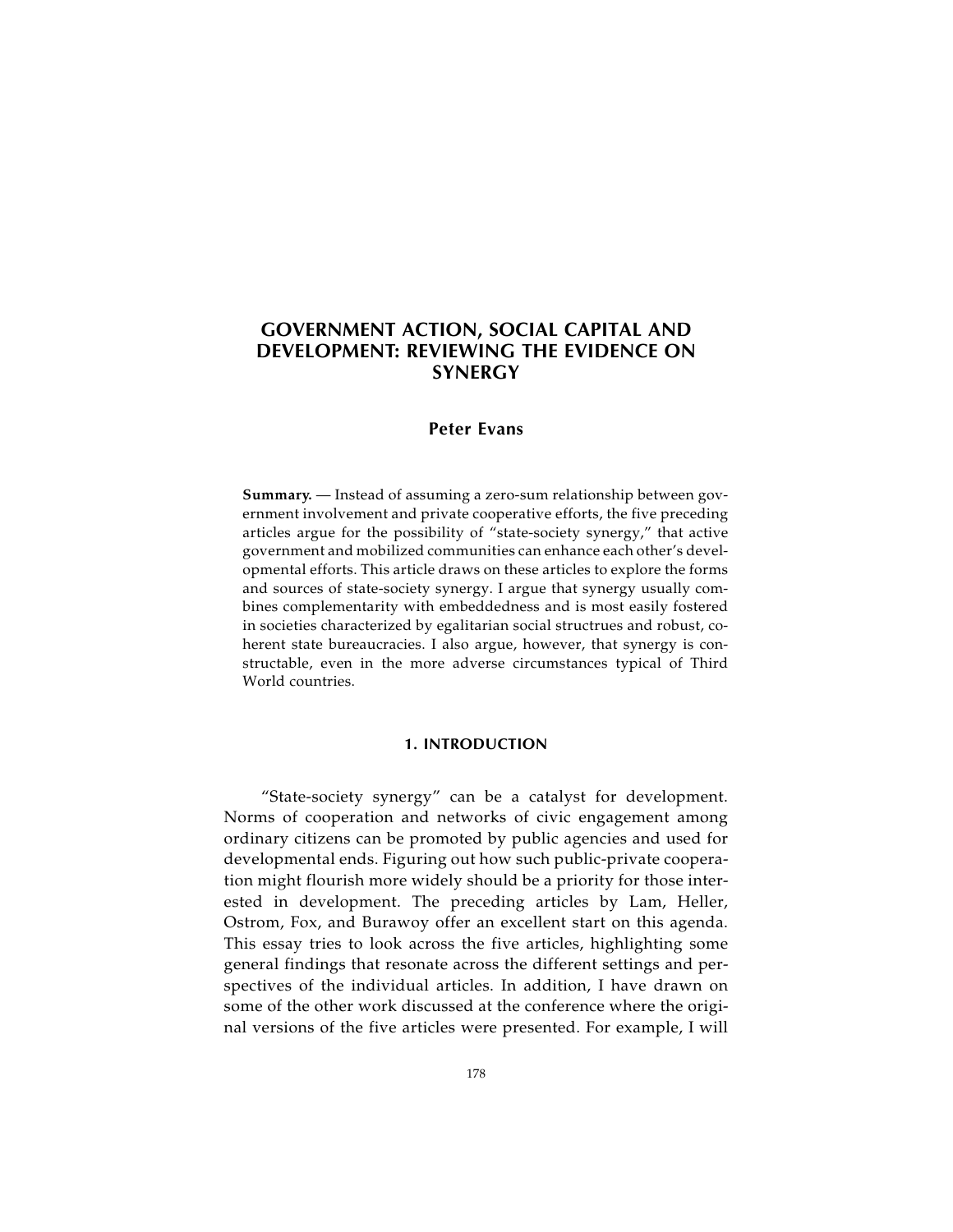# **GOVERNMENT ACTION, SOCIAL CAPITAL AND DEVELOPMENT: REVIEWING THE EVIDENCE ON SYNERGY**

## **Peter Evans**

**Summary.** — Instead of assuming a zero-sum relationship between government involvement and private cooperative efforts, the five preceding articles argue for the possibility of "state-society synergy," that active government and mobilized communities can enhance each other's developmental efforts. This article draws on these articles to explore the forms and sources of state-society synergy. I argue that synergy usually combines complementarity with embeddedness and is most easily fostered in societies characterized by egalitarian social structrues and robust, coherent state bureaucracies. I also argue, however, that synergy is constructable, even in the more adverse circumstances typical of Third World countries.

## **1. INTRODUCTION**

"State-society synergy" can be a catalyst for development. Norms of cooperation and networks of civic engagement among ordinary citizens can be promoted by public agencies and used for developmental ends. Figuring out how such public-private cooperation might flourish more widely should be a priority for those interested in development. The preceding articles by Lam, Heller, Ostrom, Fox, and Burawoy offer an excellent start on this agenda. This essay tries to look across the five articles, highlighting some general findings that resonate across the different settings and perspectives of the individual articles. In addition, I have drawn on some of the other work discussed at the conference where the original versions of the five articles were presented. For example, I will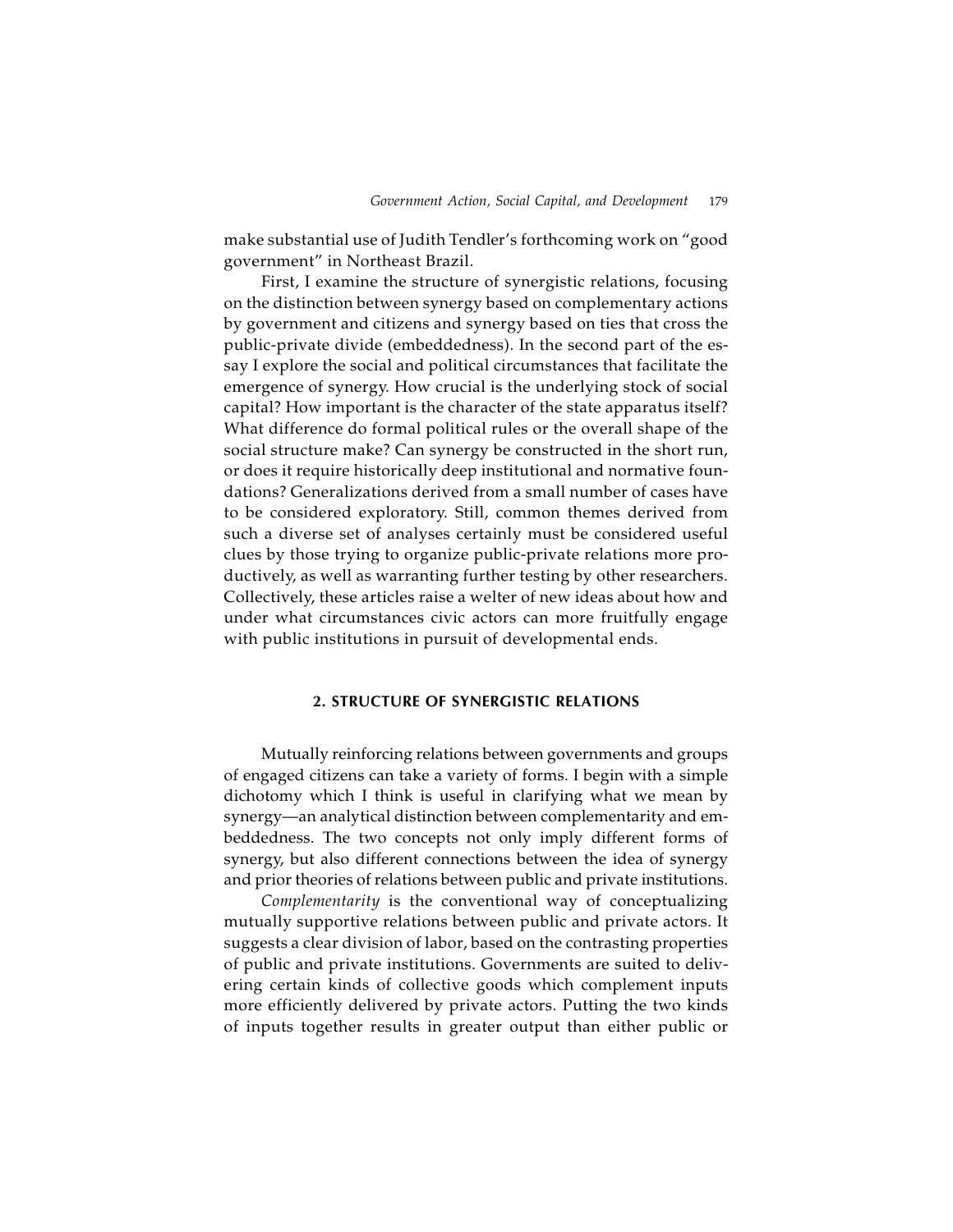make substantial use of Judith Tendler's forthcoming work on "good government" in Northeast Brazil.

First, I examine the structure of synergistic relations, focusing on the distinction between synergy based on complementary actions by government and citizens and synergy based on ties that cross the public-private divide (embeddedness). In the second part of the essay I explore the social and political circumstances that facilitate the emergence of synergy. How crucial is the underlying stock of social capital? How important is the character of the state apparatus itself? What difference do formal political rules or the overall shape of the social structure make? Can synergy be constructed in the short run, or does it require historically deep institutional and normative foundations? Generalizations derived from a small number of cases have to be considered exploratory. Still, common themes derived from such a diverse set of analyses certainly must be considered useful clues by those trying to organize public-private relations more productively, as well as warranting further testing by other researchers. Collectively, these articles raise a welter of new ideas about how and under what circumstances civic actors can more fruitfully engage with public institutions in pursuit of developmental ends.

## **2. STRUCTURE OF SYNERGISTIC RELATIONS**

Mutually reinforcing relations between governments and groups of engaged citizens can take a variety of forms. I begin with a simple dichotomy which I think is useful in clarifying what we mean by synergy—an analytical distinction between complementarity and embeddedness. The two concepts not only imply different forms of synergy, but also different connections between the idea of synergy and prior theories of relations between public and private institutions.

*Complementarity* is the conventional way of conceptualizing mutually supportive relations between public and private actors. It suggests a clear division of labor, based on the contrasting properties of public and private institutions. Governments are suited to delivering certain kinds of collective goods which complement inputs more efficiently delivered by private actors. Putting the two kinds of inputs together results in greater output than either public or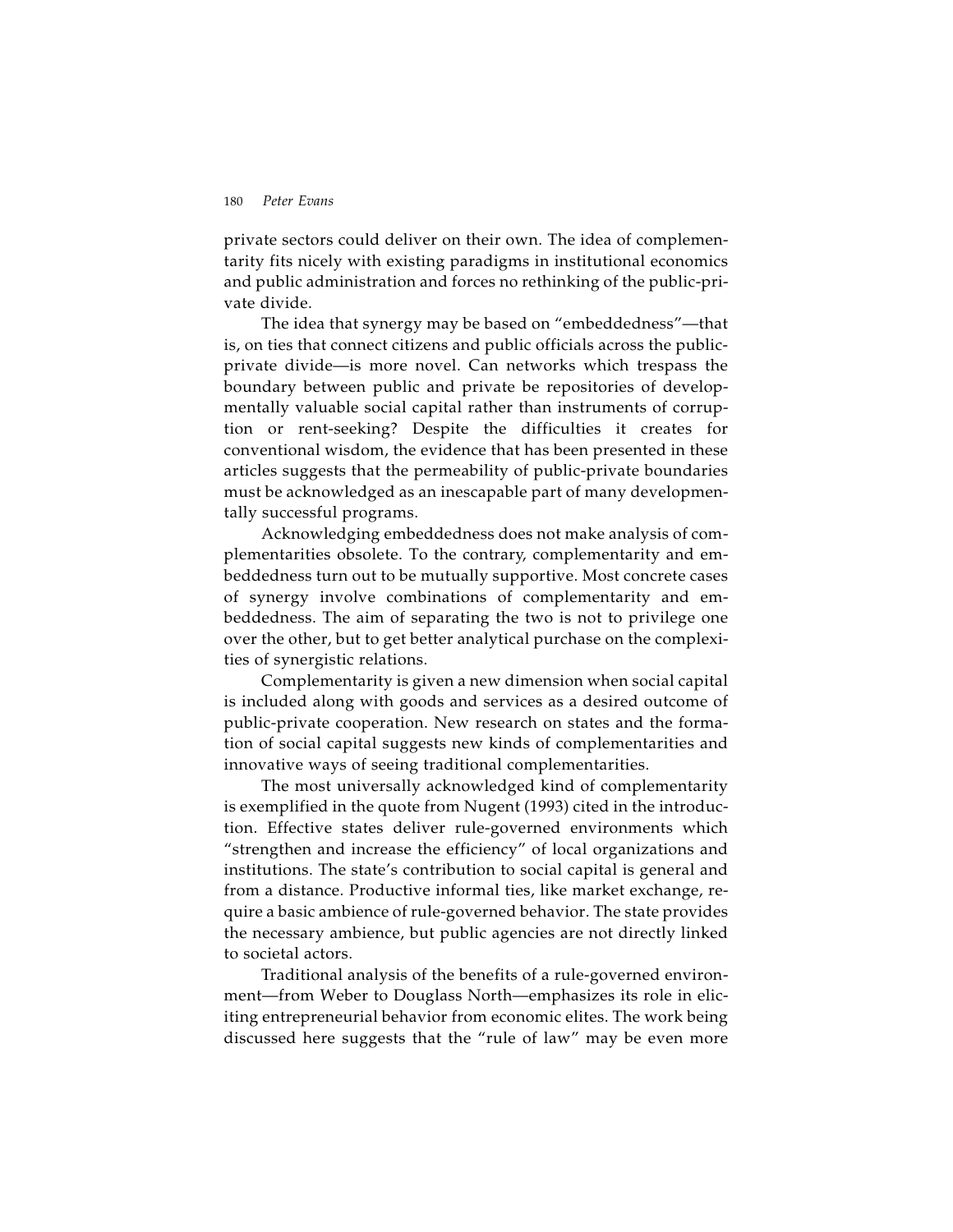private sectors could deliver on their own. The idea of complementarity fits nicely with existing paradigms in institutional economics and public administration and forces no rethinking of the public-private divide.

The idea that synergy may be based on "embeddedness"—that is, on ties that connect citizens and public officials across the publicprivate divide—is more novel. Can networks which trespass the boundary between public and private be repositories of developmentally valuable social capital rather than instruments of corruption or rent-seeking? Despite the difficulties it creates for conventional wisdom, the evidence that has been presented in these articles suggests that the permeability of public-private boundaries must be acknowledged as an inescapable part of many developmentally successful programs.

Acknowledging embeddedness does not make analysis of complementarities obsolete. To the contrary, complementarity and embeddedness turn out to be mutually supportive. Most concrete cases of synergy involve combinations of complementarity and embeddedness. The aim of separating the two is not to privilege one over the other, but to get better analytical purchase on the complexities of synergistic relations.

Complementarity is given a new dimension when social capital is included along with goods and services as a desired outcome of public-private cooperation. New research on states and the formation of social capital suggests new kinds of complementarities and innovative ways of seeing traditional complementarities.

The most universally acknowledged kind of complementarity is exemplified in the quote from Nugent (1993) cited in the introduction. Effective states deliver rule-governed environments which "strengthen and increase the efficiency" of local organizations and institutions. The state's contribution to social capital is general and from a distance. Productive informal ties, like market exchange, require a basic ambience of rule-governed behavior. The state provides the necessary ambience, but public agencies are not directly linked to societal actors.

Traditional analysis of the benefits of a rule-governed environment—from Weber to Douglass North—emphasizes its role in eliciting entrepreneurial behavior from economic elites. The work being discussed here suggests that the "rule of law" may be even more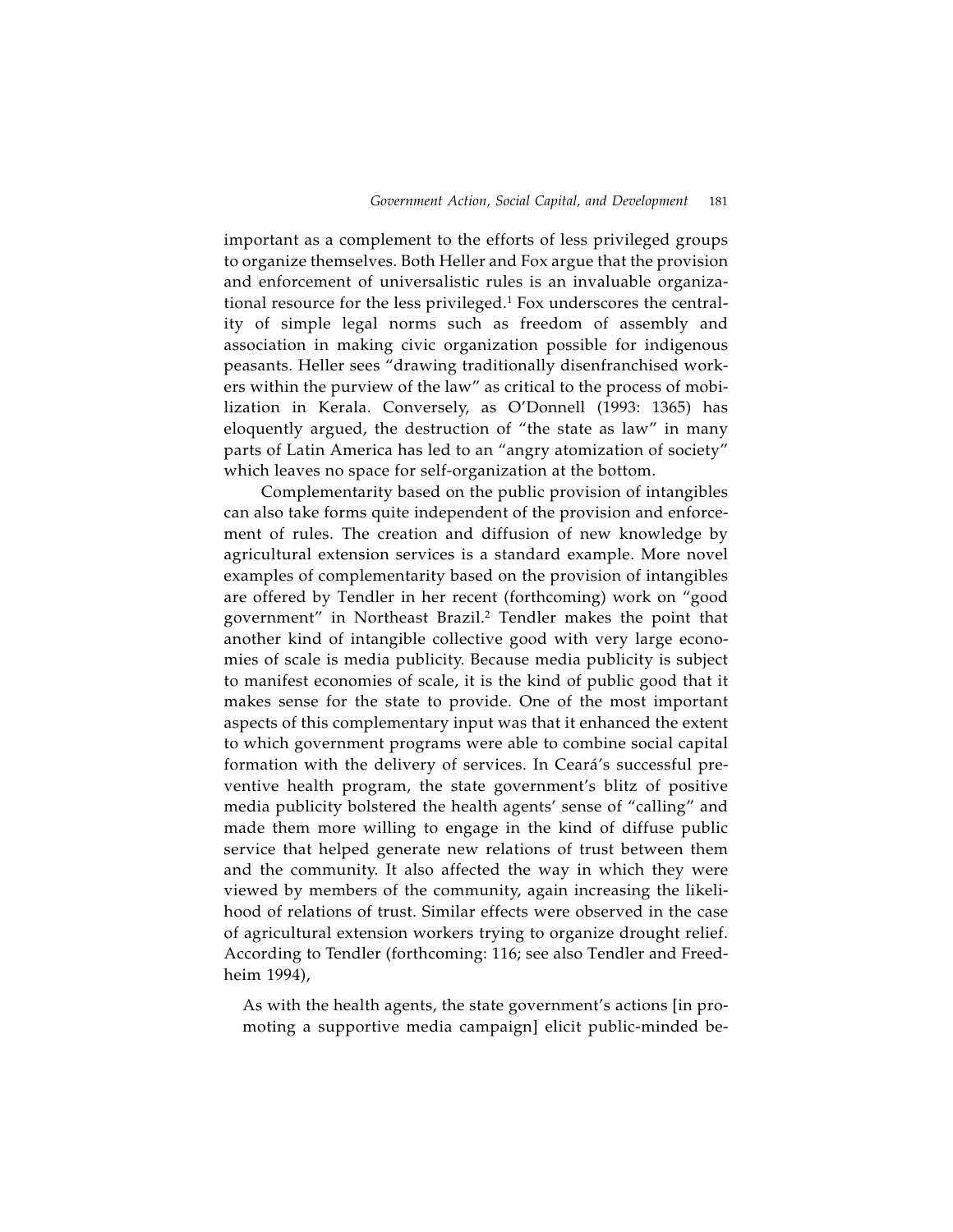important as a complement to the efforts of less privileged groups to organize themselves. Both Heller and Fox argue that the provision and enforcement of universalistic rules is an invaluable organizational resource for the less privileged.<sup>1</sup> Fox underscores the centrality of simple legal norms such as freedom of assembly and association in making civic organization possible for indigenous peasants. Heller sees "drawing traditionally disenfranchised workers within the purview of the law" as critical to the process of mobilization in Kerala. Conversely, as O'Donnell (1993: 1365) has eloquently argued, the destruction of "the state as law" in many parts of Latin America has led to an "angry atomization of society" which leaves no space for self-organization at the bottom.

Complementarity based on the public provision of intangibles can also take forms quite independent of the provision and enforcement of rules. The creation and diffusion of new knowledge by agricultural extension services is a standard example. More novel examples of complementarity based on the provision of intangibles are offered by Tendler in her recent (forthcoming) work on "good government" in Northeast Brazil.<sup>2</sup> Tendler makes the point that another kind of intangible collective good with very large economies of scale is media publicity. Because media publicity is subject to manifest economies of scale, it is the kind of public good that it makes sense for the state to provide. One of the most important aspects of this complementary input was that it enhanced the extent to which government programs were able to combine social capital formation with the delivery of services. In Ceará's successful preventive health program, the state government's blitz of positive media publicity bolstered the health agents' sense of "calling" and made them more willing to engage in the kind of diffuse public service that helped generate new relations of trust between them and the community. It also affected the way in which they were viewed by members of the community, again increasing the likelihood of relations of trust. Similar effects were observed in the case of agricultural extension workers trying to organize drought relief. According to Tendler (forthcoming: 116; see also Tendler and Freedheim 1994),

As with the health agents, the state government's actions [in promoting a supportive media campaign] elicit public-minded be-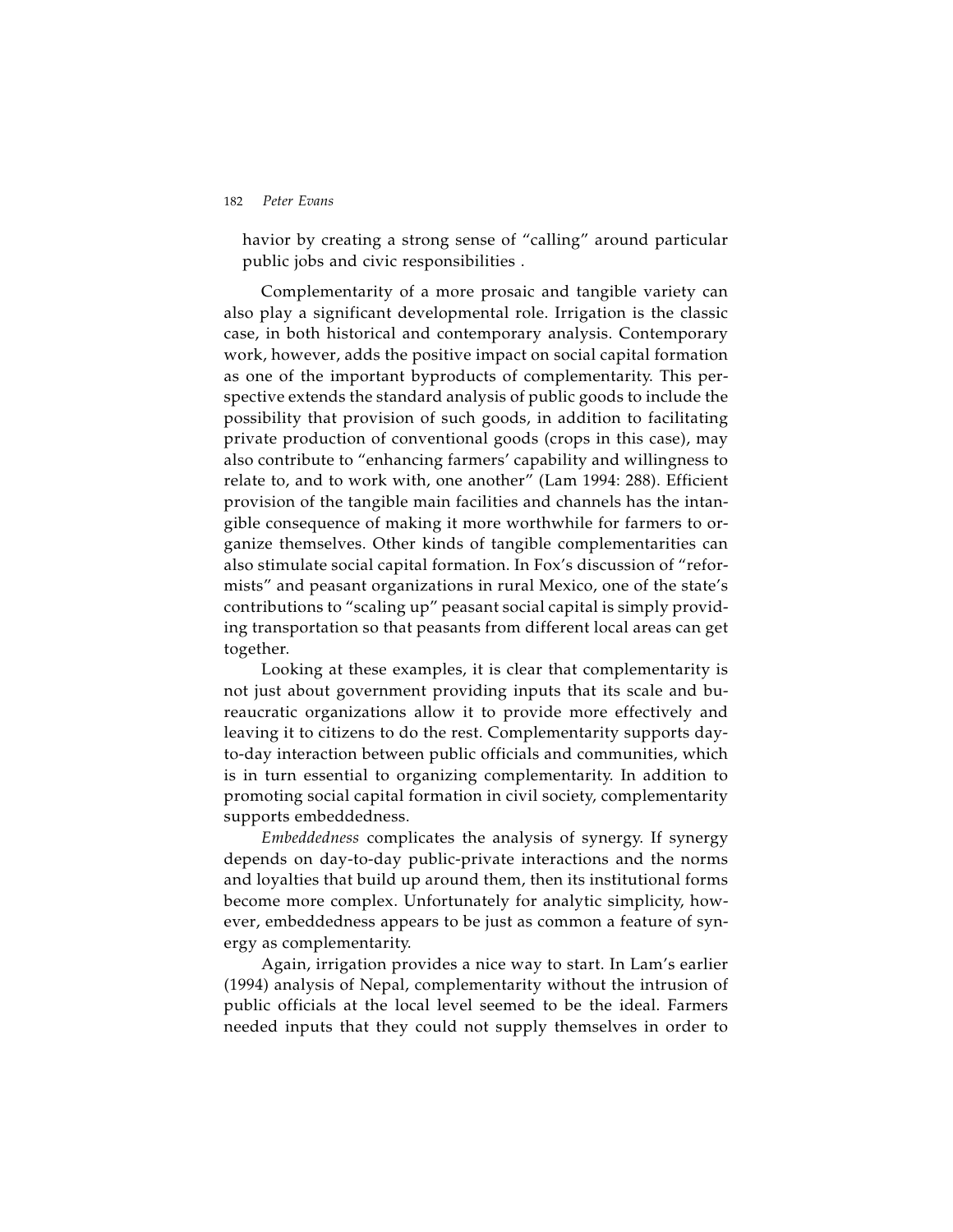havior by creating a strong sense of "calling" around particular public jobs and civic responsibilities .

Complementarity of a more prosaic and tangible variety can also play a significant developmental role. Irrigation is the classic case, in both historical and contemporary analysis. Contemporary work, however, adds the positive impact on social capital formation as one of the important byproducts of complementarity. This perspective extends the standard analysis of public goods to include the possibility that provision of such goods, in addition to facilitating private production of conventional goods (crops in this case), may also contribute to "enhancing farmers' capability and willingness to relate to, and to work with, one another" (Lam 1994: 288). Efficient provision of the tangible main facilities and channels has the intangible consequence of making it more worthwhile for farmers to organize themselves. Other kinds of tangible complementarities can also stimulate social capital formation. In Fox's discussion of "reformists" and peasant organizations in rural Mexico, one of the state's contributions to "scaling up" peasant social capital is simply providing transportation so that peasants from different local areas can get together.

Looking at these examples, it is clear that complementarity is not just about government providing inputs that its scale and bureaucratic organizations allow it to provide more effectively and leaving it to citizens to do the rest. Complementarity supports dayto-day interaction between public officials and communities, which is in turn essential to organizing complementarity. In addition to promoting social capital formation in civil society, complementarity supports embeddedness.

*Embeddedness* complicates the analysis of synergy. If synergy depends on day-to-day public-private interactions and the norms and loyalties that build up around them, then its institutional forms become more complex. Unfortunately for analytic simplicity, however, embeddedness appears to be just as common a feature of synergy as complementarity.

Again, irrigation provides a nice way to start. In Lam's earlier (1994) analysis of Nepal, complementarity without the intrusion of public officials at the local level seemed to be the ideal. Farmers needed inputs that they could not supply themselves in order to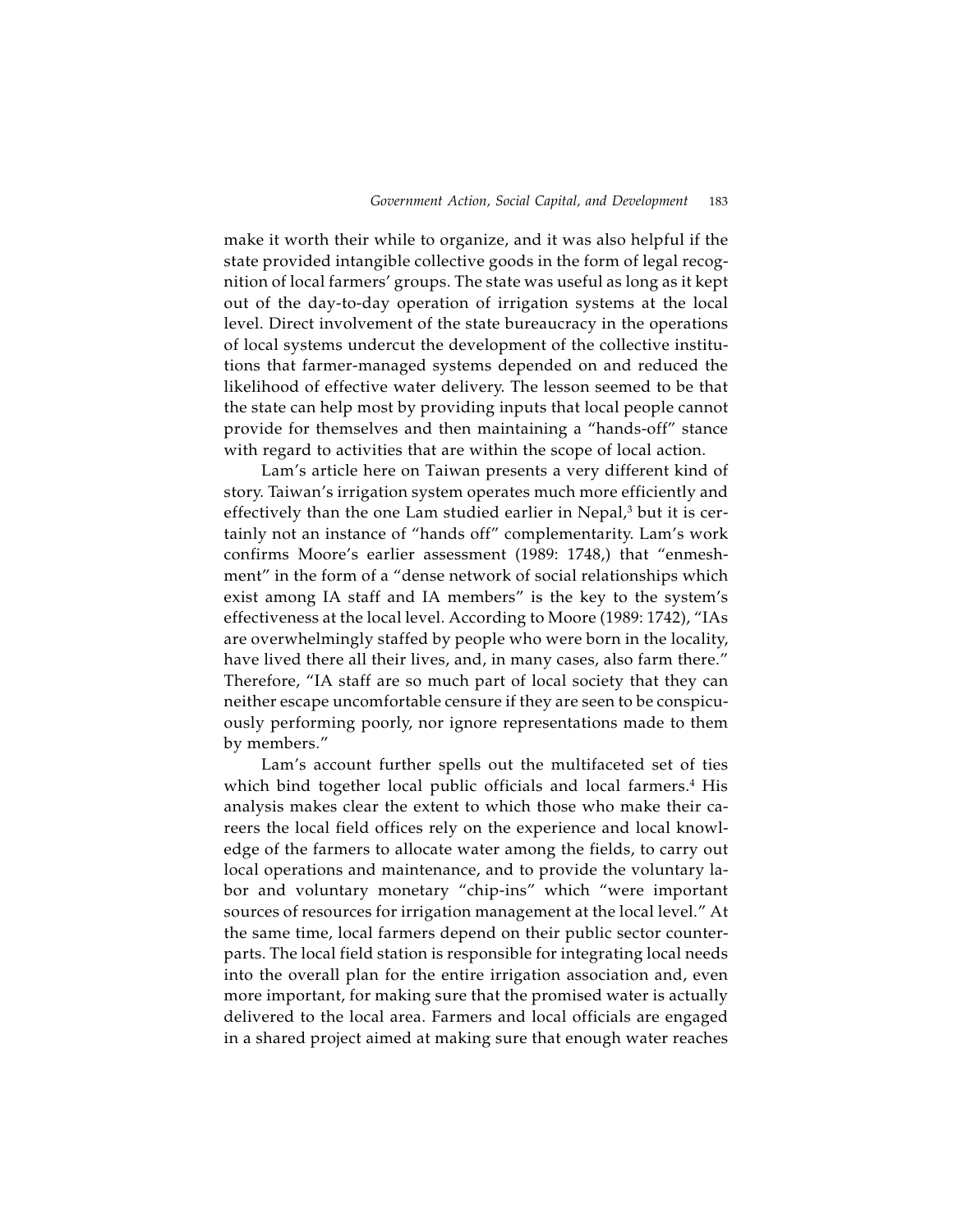make it worth their while to organize, and it was also helpful if the state provided intangible collective goods in the form of legal recognition of local farmers' groups. The state was useful as long as it kept out of the day-to-day operation of irrigation systems at the local level. Direct involvement of the state bureaucracy in the operations of local systems undercut the development of the collective institutions that farmer-managed systems depended on and reduced the likelihood of effective water delivery. The lesson seemed to be that the state can help most by providing inputs that local people cannot provide for themselves and then maintaining a "hands-off" stance with regard to activities that are within the scope of local action.

Lam's article here on Taiwan presents a very different kind of story. Taiwan's irrigation system operates much more efficiently and effectively than the one Lam studied earlier in Nepal, $^3$  but it is certainly not an instance of "hands off" complementarity. Lam's work confirms Moore's earlier assessment (1989: 1748,) that "enmeshment" in the form of a "dense network of social relationships which exist among IA staff and IA members" is the key to the system's effectiveness at the local level. According to Moore (1989: 1742), "IAs are overwhelmingly staffed by people who were born in the locality, have lived there all their lives, and, in many cases, also farm there." Therefore, "IA staff are so much part of local society that they can neither escape uncomfortable censure if they are seen to be conspicuously performing poorly, nor ignore representations made to them by members."

Lam's account further spells out the multifaceted set of ties which bind together local public officials and local farmers.<sup>4</sup> His analysis makes clear the extent to which those who make their careers the local field offices rely on the experience and local knowledge of the farmers to allocate water among the fields, to carry out local operations and maintenance, and to provide the voluntary labor and voluntary monetary "chip-ins" which "were important sources of resources for irrigation management at the local level." At the same time, local farmers depend on their public sector counterparts. The local field station is responsible for integrating local needs into the overall plan for the entire irrigation association and, even more important, for making sure that the promised water is actually delivered to the local area. Farmers and local officials are engaged in a shared project aimed at making sure that enough water reaches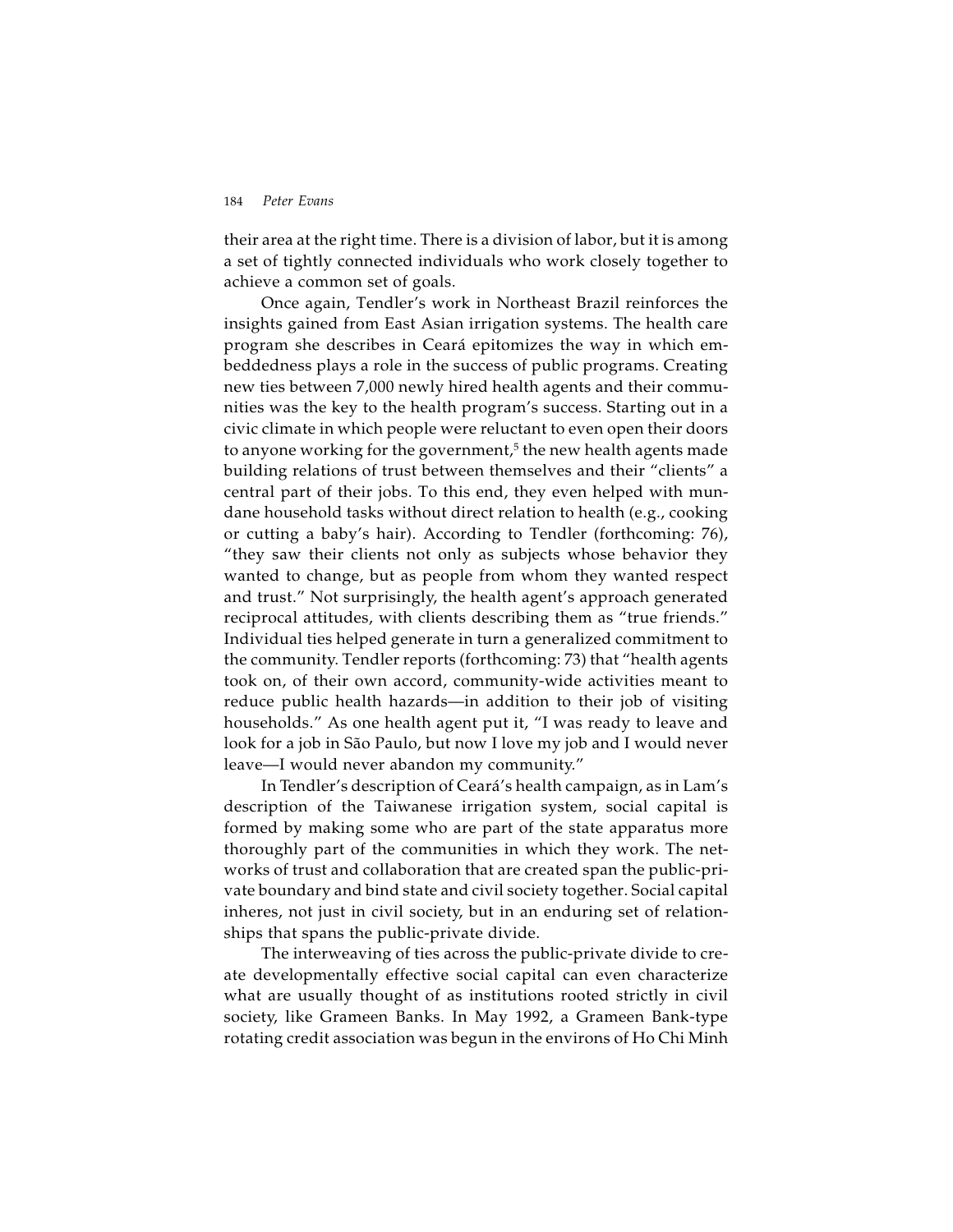their area at the right time. There is a division of labor, but it is among a set of tightly connected individuals who work closely together to achieve a common set of goals.

Once again, Tendler's work in Northeast Brazil reinforces the insights gained from East Asian irrigation systems. The health care program she describes in Ceará epitomizes the way in which embeddedness plays a role in the success of public programs. Creating new ties between 7,000 newly hired health agents and their communities was the key to the health program's success. Starting out in a civic climate in which people were reluctant to even open their doors to anyone working for the government,<sup>5</sup> the new health agents made building relations of trust between themselves and their "clients" a central part of their jobs. To this end, they even helped with mundane household tasks without direct relation to health (e.g., cooking or cutting a baby's hair). According to Tendler (forthcoming: 76), "they saw their clients not only as subjects whose behavior they wanted to change, but as people from whom they wanted respect and trust." Not surprisingly, the health agent's approach generated reciprocal attitudes, with clients describing them as "true friends." Individual ties helped generate in turn a generalized commitment to the community. Tendler reports (forthcoming: 73) that "health agents took on, of their own accord, community-wide activities meant to reduce public health hazards—in addition to their job of visiting households." As one health agent put it, "I was ready to leave and look for a job in São Paulo, but now I love my job and I would never leave—I would never abandon my community."

In Tendler's description of Ceará's health campaign, as in Lam's description of the Taiwanese irrigation system, social capital is formed by making some who are part of the state apparatus more thoroughly part of the communities in which they work. The networks of trust and collaboration that are created span the public-private boundary and bind state and civil society together. Social capital inheres, not just in civil society, but in an enduring set of relationships that spans the public-private divide.

The interweaving of ties across the public-private divide to create developmentally effective social capital can even characterize what are usually thought of as institutions rooted strictly in civil society, like Grameen Banks. In May 1992, a Grameen Bank-type rotating credit association was begun in the environs of Ho Chi Minh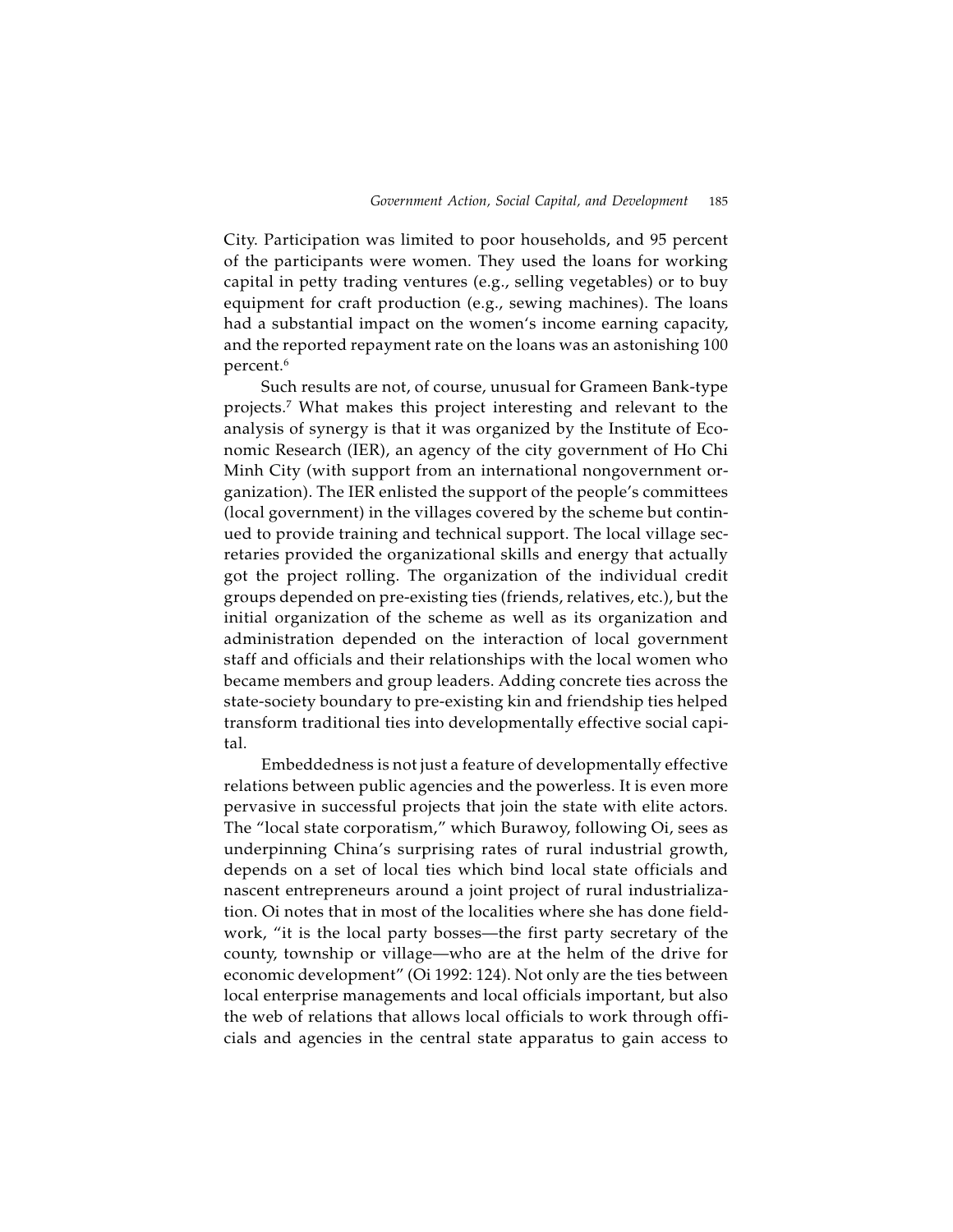City. Participation was limited to poor households, and 95 percent of the participants were women. They used the loans for working capital in petty trading ventures (e.g., selling vegetables) or to buy equipment for craft production (e.g., sewing machines). The loans had a substantial impact on the women's income earning capacity, and the reported repayment rate on the loans was an astonishing 100 percent.<sup>6</sup>

Such results are not, of course, unusual for Grameen Bank-type projects.<sup>7</sup> What makes this project interesting and relevant to the analysis of synergy is that it was organized by the Institute of Economic Research (IER), an agency of the city government of Ho Chi Minh City (with support from an international nongovernment organization). The IER enlisted the support of the people's committees (local government) in the villages covered by the scheme but continued to provide training and technical support. The local village secretaries provided the organizational skills and energy that actually got the project rolling. The organization of the individual credit groups depended on pre-existing ties (friends, relatives, etc.), but the initial organization of the scheme as well as its organization and administration depended on the interaction of local government staff and officials and their relationships with the local women who became members and group leaders. Adding concrete ties across the state-society boundary to pre-existing kin and friendship ties helped transform traditional ties into developmentally effective social capital.

Embeddedness is not just a feature of developmentally effective relations between public agencies and the powerless. It is even more pervasive in successful projects that join the state with elite actors. The "local state corporatism," which Burawoy, following Oi, sees as underpinning China's surprising rates of rural industrial growth, depends on a set of local ties which bind local state officials and nascent entrepreneurs around a joint project of rural industrialization. Oi notes that in most of the localities where she has done fieldwork, "it is the local party bosses—the first party secretary of the county, township or village—who are at the helm of the drive for economic development" (Oi 1992: 124). Not only are the ties between local enterprise managements and local officials important, but also the web of relations that allows local officials to work through officials and agencies in the central state apparatus to gain access to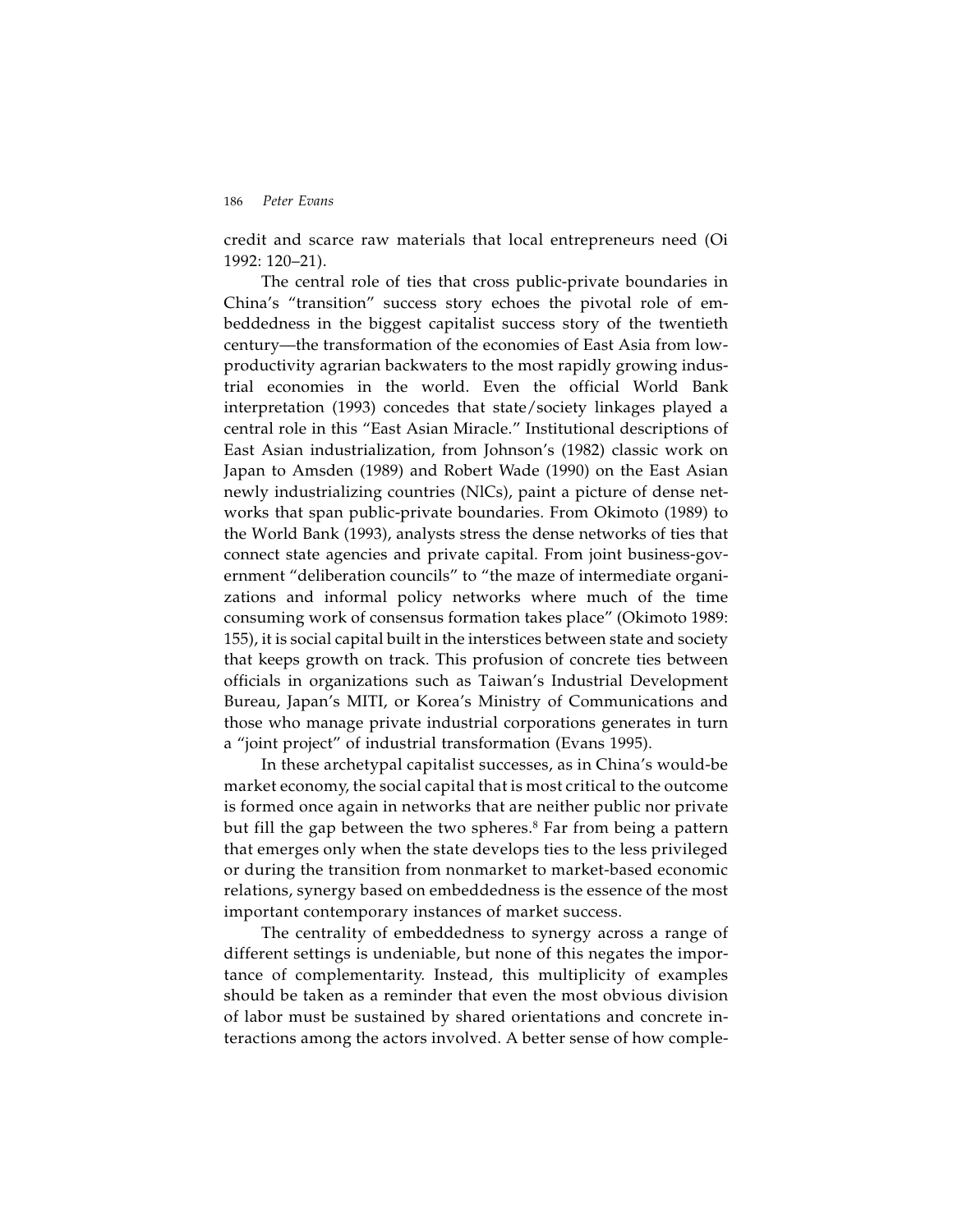credit and scarce raw materials that local entrepreneurs need (Oi 1992: 120–21).

The central role of ties that cross public-private boundaries in China's "transition" success story echoes the pivotal role of embeddedness in the biggest capitalist success story of the twentieth century—the transformation of the economies of East Asia from lowproductivity agrarian backwaters to the most rapidly growing industrial economies in the world. Even the official World Bank interpretation (1993) concedes that state/society linkages played a central role in this "East Asian Miracle." Institutional descriptions of East Asian industrialization, from Johnson's (1982) classic work on Japan to Amsden (1989) and Robert Wade (1990) on the East Asian newly industrializing countries (NlCs), paint a picture of dense networks that span public-private boundaries. From Okimoto (1989) to the World Bank (1993), analysts stress the dense networks of ties that connect state agencies and private capital. From joint business-government "deliberation councils" to "the maze of intermediate organizations and informal policy networks where much of the time consuming work of consensus formation takes place" (Okimoto 1989: 155), it is social capital built in the interstices between state and society that keeps growth on track. This profusion of concrete ties between officials in organizations such as Taiwan's Industrial Development Bureau, Japan's MITI, or Korea's Ministry of Communications and those who manage private industrial corporations generates in turn a "joint project" of industrial transformation (Evans 1995).

In these archetypal capitalist successes, as in China's would-be market economy, the social capital that is most critical to the outcome is formed once again in networks that are neither public nor private but fill the gap between the two spheres.<sup>8</sup> Far from being a pattern that emerges only when the state develops ties to the less privileged or during the transition from nonmarket to market-based economic relations, synergy based on embeddedness is the essence of the most important contemporary instances of market success.

The centrality of embeddedness to synergy across a range of different settings is undeniable, but none of this negates the importance of complementarity. Instead, this multiplicity of examples should be taken as a reminder that even the most obvious division of labor must be sustained by shared orientations and concrete interactions among the actors involved. A better sense of how comple-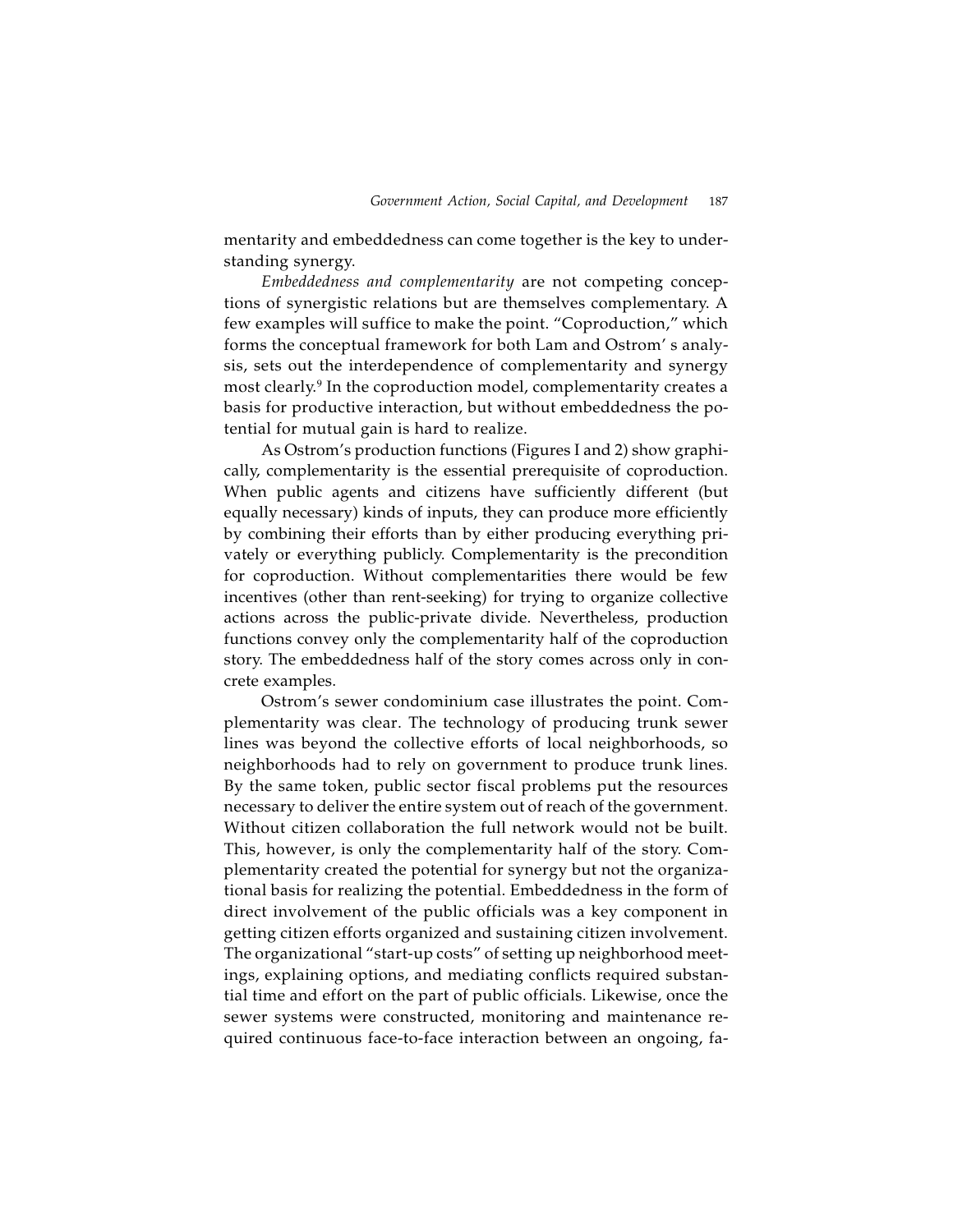mentarity and embeddedness can come together is the key to understanding synergy.

*Embeddedness and complementarity* are not competing conceptions of synergistic relations but are themselves complementary. A few examples will suffice to make the point. "Coproduction," which forms the conceptual framework for both Lam and Ostrom' s analysis, sets out the interdependence of complementarity and synergy most clearly. 9 In the coproduction model, complementarity creates a basis for productive interaction, but without embeddedness the potential for mutual gain is hard to realize.

As Ostrom's production functions (Figures I and 2) show graphically, complementarity is the essential prerequisite of coproduction. When public agents and citizens have sufficiently different (but equally necessary) kinds of inputs, they can produce more efficiently by combining their efforts than by either producing everything privately or everything publicly. Complementarity is the precondition for coproduction. Without complementarities there would be few incentives (other than rent-seeking) for trying to organize collective actions across the public-private divide. Nevertheless, production functions convey only the complementarity half of the coproduction story. The embeddedness half of the story comes across only in concrete examples.

Ostrom's sewer condominium case illustrates the point. Complementarity was clear. The technology of producing trunk sewer lines was beyond the collective efforts of local neighborhoods, so neighborhoods had to rely on government to produce trunk lines. By the same token, public sector fiscal problems put the resources necessary to deliver the entire system out of reach of the government. Without citizen collaboration the full network would not be built. This, however, is only the complementarity half of the story. Complementarity created the potential for synergy but not the organizational basis for realizing the potential. Embeddedness in the form of direct involvement of the public officials was a key component in getting citizen efforts organized and sustaining citizen involvement. The organizational "start-up costs" of setting up neighborhood meetings, explaining options, and mediating conflicts required substantial time and effort on the part of public officials. Likewise, once the sewer systems were constructed, monitoring and maintenance required continuous face-to-face interaction between an ongoing, fa-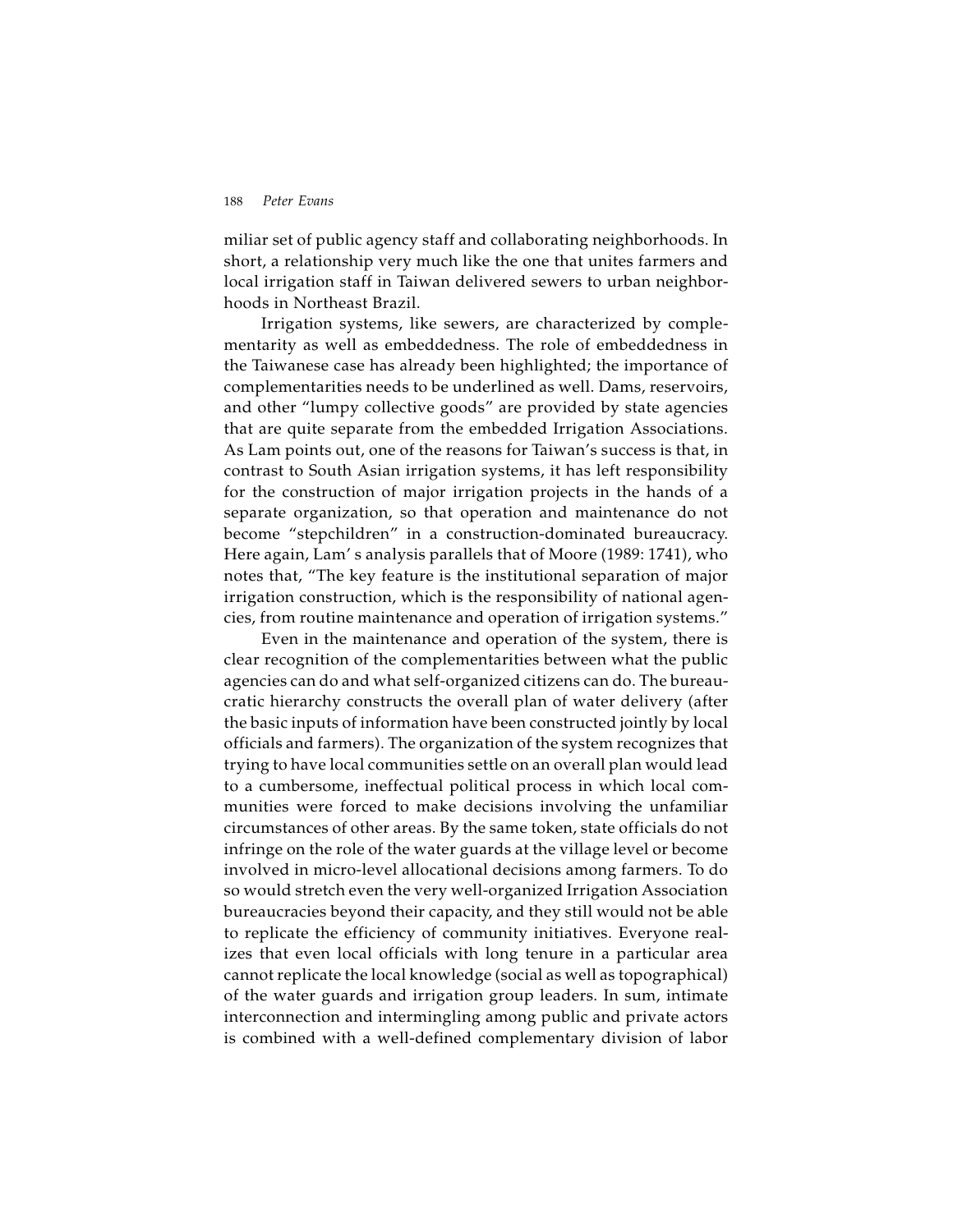miliar set of public agency staff and collaborating neighborhoods. In short, a relationship very much like the one that unites farmers and local irrigation staff in Taiwan delivered sewers to urban neighborhoods in Northeast Brazil.

Irrigation systems, like sewers, are characterized by complementarity as well as embeddedness. The role of embeddedness in the Taiwanese case has already been highlighted; the importance of complementarities needs to be underlined as well. Dams, reservoirs, and other "lumpy collective goods" are provided by state agencies that are quite separate from the embedded Irrigation Associations. As Lam points out, one of the reasons for Taiwan's success is that, in contrast to South Asian irrigation systems, it has left responsibility for the construction of major irrigation projects in the hands of a separate organization, so that operation and maintenance do not become "stepchildren" in a construction-dominated bureaucracy. Here again, Lam' s analysis parallels that of Moore (1989: 1741), who notes that, "The key feature is the institutional separation of major irrigation construction, which is the responsibility of national agencies, from routine maintenance and operation of irrigation systems."

Even in the maintenance and operation of the system, there is clear recognition of the complementarities between what the public agencies can do and what self-organized citizens can do. The bureaucratic hierarchy constructs the overall plan of water delivery (after the basic inputs of information have been constructed jointly by local officials and farmers). The organization of the system recognizes that trying to have local communities settle on an overall plan would lead to a cumbersome, ineffectual political process in which local communities were forced to make decisions involving the unfamiliar circumstances of other areas. By the same token, state officials do not infringe on the role of the water guards at the village level or become involved in micro-level allocational decisions among farmers. To do so would stretch even the very well-organized Irrigation Association bureaucracies beyond their capacity, and they still would not be able to replicate the efficiency of community initiatives. Everyone realizes that even local officials with long tenure in a particular area cannot replicate the local knowledge (social as well as topographical) of the water guards and irrigation group leaders. In sum, intimate interconnection and intermingling among public and private actors is combined with a well-defined complementary division of labor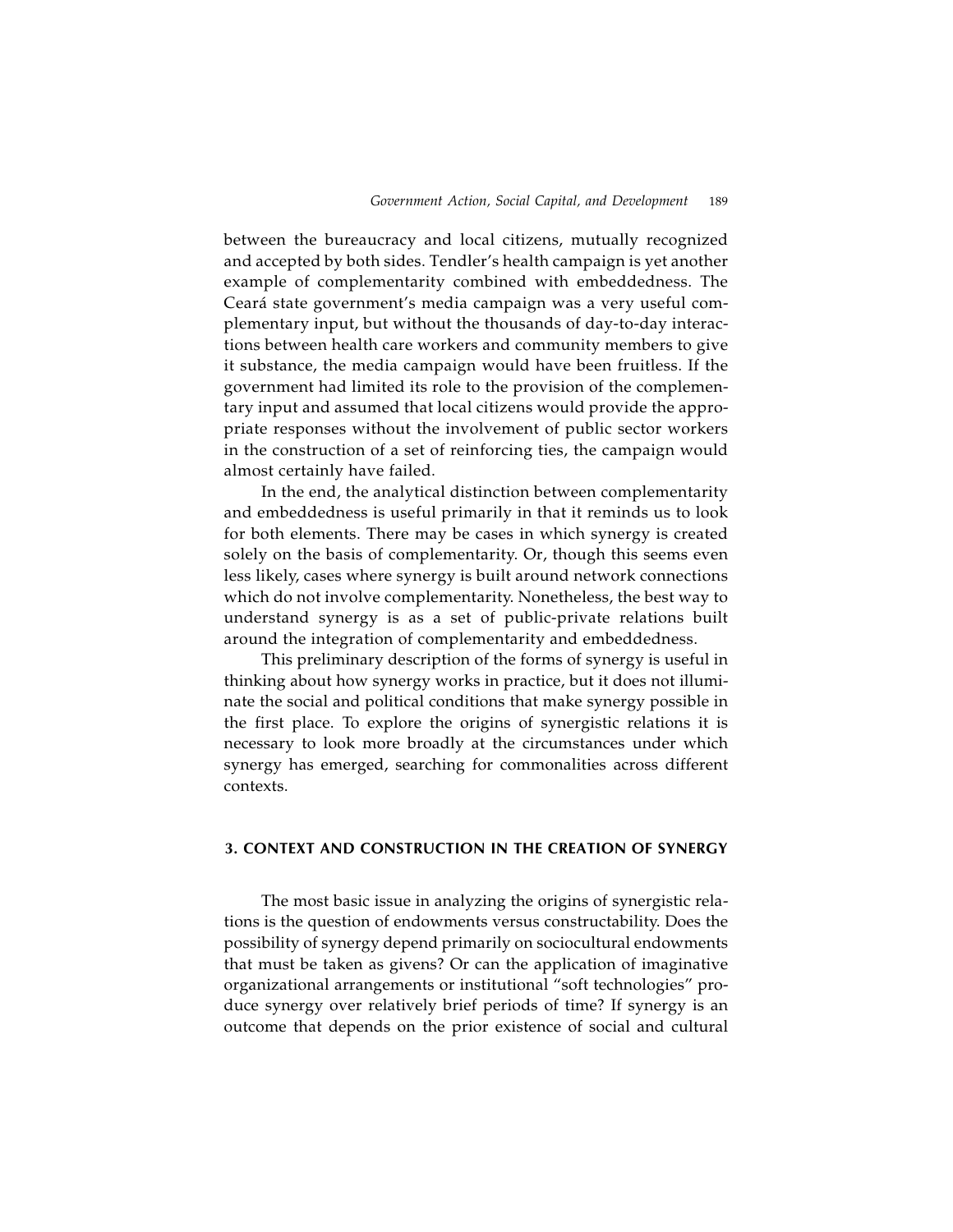between the bureaucracy and local citizens, mutually recognized and accepted by both sides. Tendler's health campaign is yet another example of complementarity combined with embeddedness. The Ceará state government's media campaign was a very useful complementary input, but without the thousands of day-to-day interactions between health care workers and community members to give it substance, the media campaign would have been fruitless. If the government had limited its role to the provision of the complementary input and assumed that local citizens would provide the appropriate responses without the involvement of public sector workers in the construction of a set of reinforcing ties, the campaign would almost certainly have failed.

In the end, the analytical distinction between complementarity and embeddedness is useful primarily in that it reminds us to look for both elements. There may be cases in which synergy is created solely on the basis of complementarity. Or, though this seems even less likely, cases where synergy is built around network connections which do not involve complementarity. Nonetheless, the best way to understand synergy is as a set of public-private relations built around the integration of complementarity and embeddedness.

This preliminary description of the forms of synergy is useful in thinking about how synergy works in practice, but it does not illuminate the social and political conditions that make synergy possible in the first place. To explore the origins of synergistic relations it is necessary to look more broadly at the circumstances under which synergy has emerged, searching for commonalities across different contexts.

### **3. CONTEXT AND CONSTRUCTION IN THE CREATION OF SYNERGY**

The most basic issue in analyzing the origins of synergistic relations is the question of endowments versus constructability. Does the possibility of synergy depend primarily on sociocultural endowments that must be taken as givens? Or can the application of imaginative organizational arrangements or institutional "soft technologies" produce synergy over relatively brief periods of time? If synergy is an outcome that depends on the prior existence of social and cultural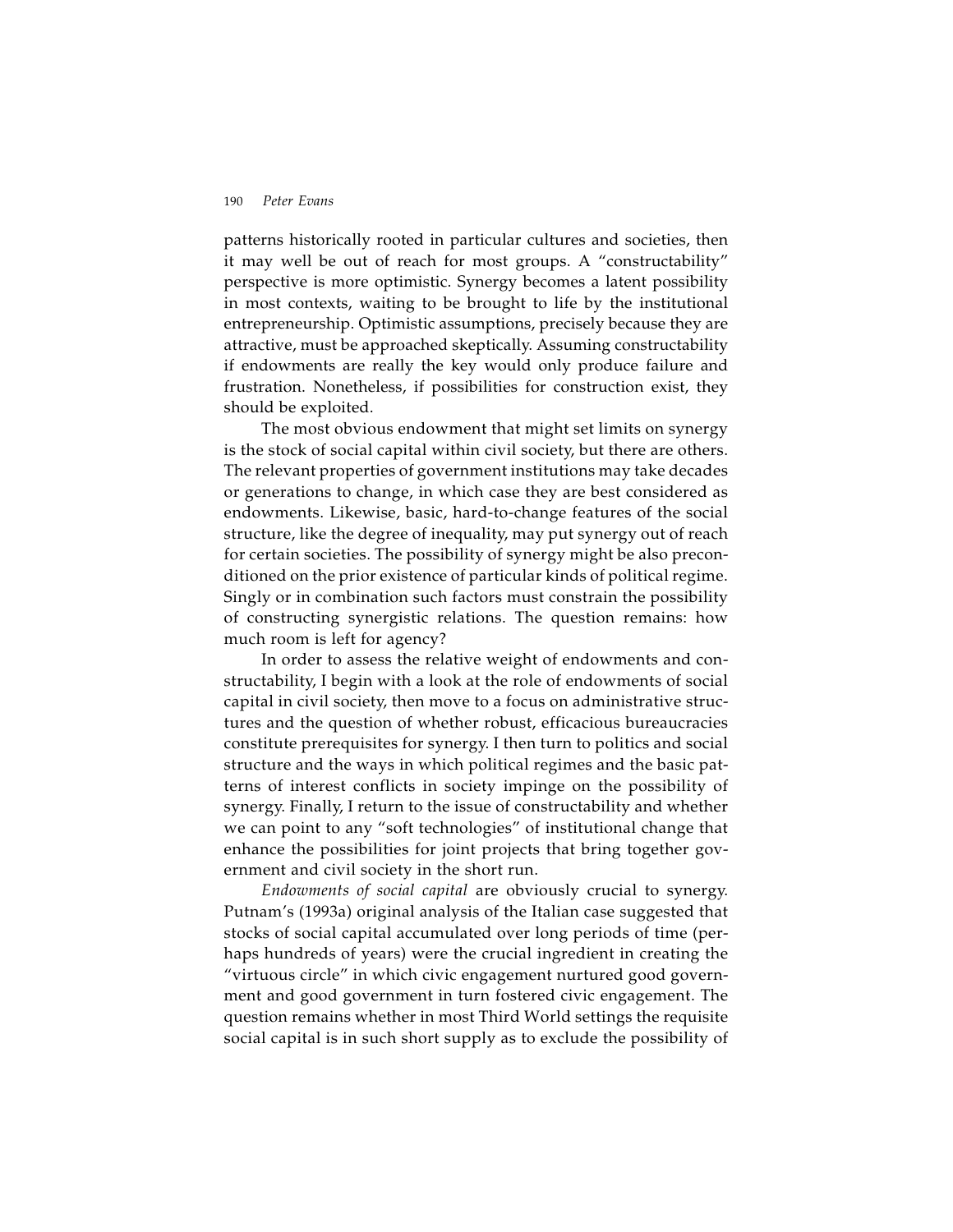patterns historically rooted in particular cultures and societies, then it may well be out of reach for most groups. A "constructability" perspective is more optimistic. Synergy becomes a latent possibility in most contexts, waiting to be brought to life by the institutional entrepreneurship. Optimistic assumptions, precisely because they are attractive, must be approached skeptically. Assuming constructability if endowments are really the key would only produce failure and frustration. Nonetheless, if possibilities for construction exist, they should be exploited.

The most obvious endowment that might set limits on synergy is the stock of social capital within civil society, but there are others. The relevant properties of government institutions may take decades or generations to change, in which case they are best considered as endowments. Likewise, basic, hard-to-change features of the social structure, like the degree of inequality, may put synergy out of reach for certain societies. The possibility of synergy might be also preconditioned on the prior existence of particular kinds of political regime. Singly or in combination such factors must constrain the possibility of constructing synergistic relations. The question remains: how much room is left for agency?

In order to assess the relative weight of endowments and constructability, I begin with a look at the role of endowments of social capital in civil society, then move to a focus on administrative structures and the question of whether robust, efficacious bureaucracies constitute prerequisites for synergy. I then turn to politics and social structure and the ways in which political regimes and the basic patterns of interest conflicts in society impinge on the possibility of synergy. Finally, I return to the issue of constructability and whether we can point to any "soft technologies" of institutional change that enhance the possibilities for joint projects that bring together government and civil society in the short run.

*Endowments of social capital* are obviously crucial to synergy. Putnam's (1993a) original analysis of the Italian case suggested that stocks of social capital accumulated over long periods of time (perhaps hundreds of years) were the crucial ingredient in creating the "virtuous circle" in which civic engagement nurtured good government and good government in turn fostered civic engagement. The question remains whether in most Third World settings the requisite social capital is in such short supply as to exclude the possibility of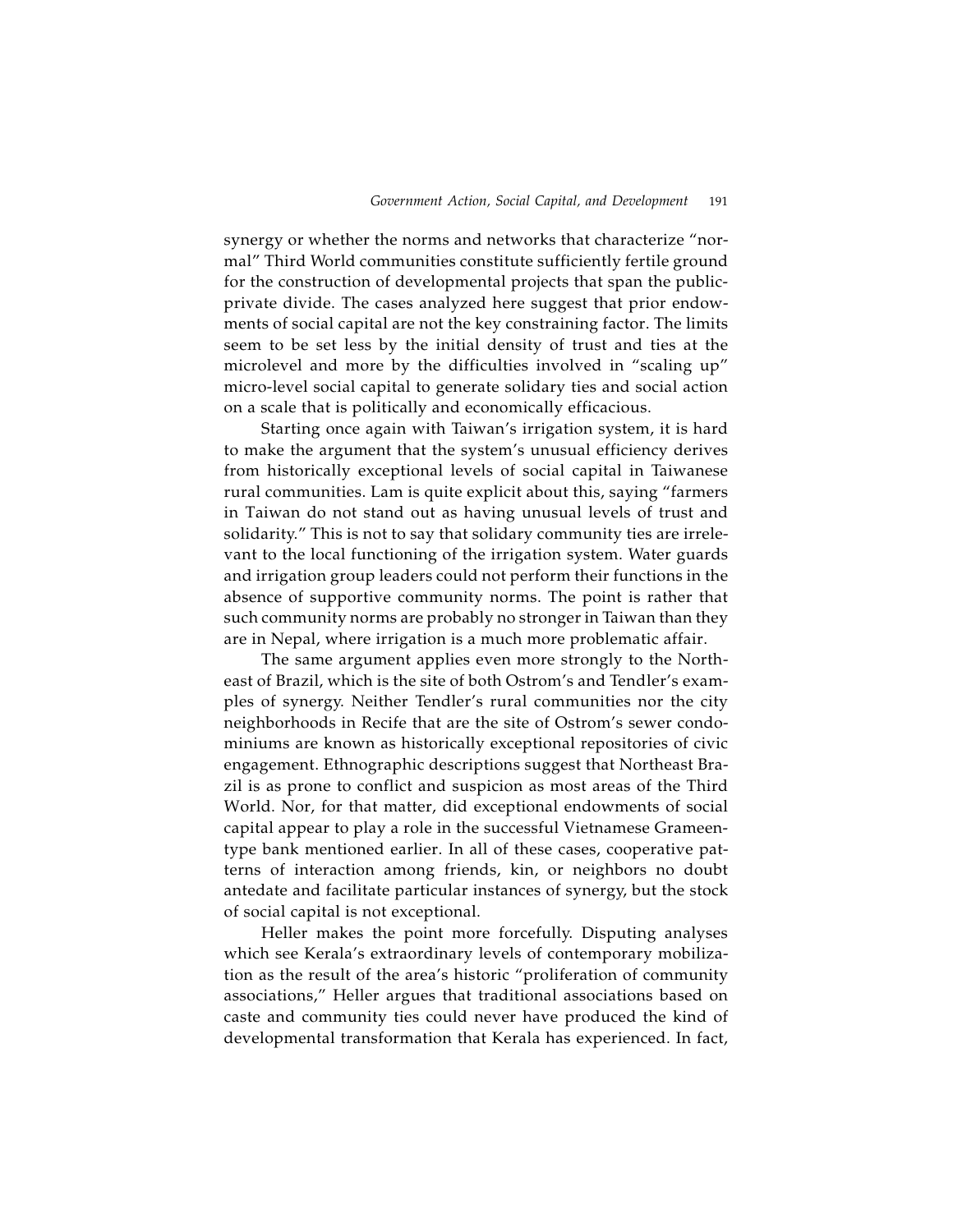synergy or whether the norms and networks that characterize "normal" Third World communities constitute sufficiently fertile ground for the construction of developmental projects that span the publicprivate divide. The cases analyzed here suggest that prior endowments of social capital are not the key constraining factor. The limits seem to be set less by the initial density of trust and ties at the microlevel and more by the difficulties involved in "scaling up" micro-level social capital to generate solidary ties and social action on a scale that is politically and economically efficacious.

Starting once again with Taiwan's irrigation system, it is hard to make the argument that the system's unusual efficiency derives from historically exceptional levels of social capital in Taiwanese rural communities. Lam is quite explicit about this, saying "farmers in Taiwan do not stand out as having unusual levels of trust and solidarity." This is not to say that solidary community ties are irrelevant to the local functioning of the irrigation system. Water guards and irrigation group leaders could not perform their functions in the absence of supportive community norms. The point is rather that such community norms are probably no stronger in Taiwan than they are in Nepal, where irrigation is a much more problematic affair.

The same argument applies even more strongly to the Northeast of Brazil, which is the site of both Ostrom's and Tendler's examples of synergy. Neither Tendler's rural communities nor the city neighborhoods in Recife that are the site of Ostrom's sewer condominiums are known as historically exceptional repositories of civic engagement. Ethnographic descriptions suggest that Northeast Brazil is as prone to conflict and suspicion as most areas of the Third World. Nor, for that matter, did exceptional endowments of social capital appear to play a role in the successful Vietnamese Grameentype bank mentioned earlier. In all of these cases, cooperative patterns of interaction among friends, kin, or neighbors no doubt antedate and facilitate particular instances of synergy, but the stock of social capital is not exceptional.

Heller makes the point more forcefully. Disputing analyses which see Kerala's extraordinary levels of contemporary mobilization as the result of the area's historic "proliferation of community associations," Heller argues that traditional associations based on caste and community ties could never have produced the kind of developmental transformation that Kerala has experienced. In fact,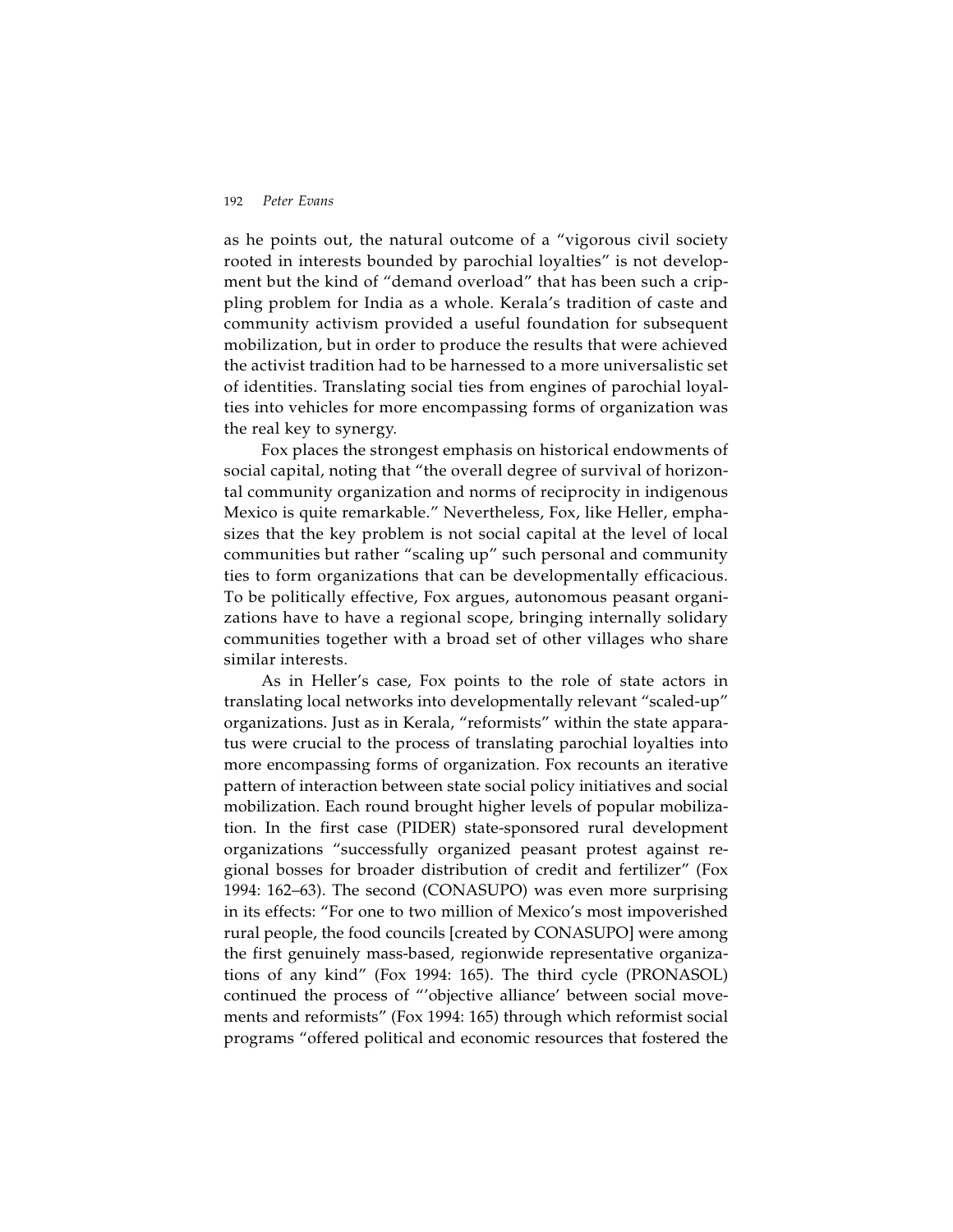as he points out, the natural outcome of a "vigorous civil society rooted in interests bounded by parochial loyalties" is not development but the kind of "demand overload" that has been such a crippling problem for India as a whole. Kerala's tradition of caste and community activism provided a useful foundation for subsequent mobilization, but in order to produce the results that were achieved the activist tradition had to be harnessed to a more universalistic set of identities. Translating social ties from engines of parochial loyalties into vehicles for more encompassing forms of organization was the real key to synergy.

Fox places the strongest emphasis on historical endowments of social capital, noting that "the overall degree of survival of horizontal community organization and norms of reciprocity in indigenous Mexico is quite remarkable." Nevertheless, Fox, like Heller, emphasizes that the key problem is not social capital at the level of local communities but rather "scaling up" such personal and community ties to form organizations that can be developmentally efficacious. To be politically effective, Fox argues, autonomous peasant organizations have to have a regional scope, bringing internally solidary communities together with a broad set of other villages who share similar interests.

As in Heller's case, Fox points to the role of state actors in translating local networks into developmentally relevant "scaled-up" organizations. Just as in Kerala, "reformists" within the state apparatus were crucial to the process of translating parochial loyalties into more encompassing forms of organization. Fox recounts an iterative pattern of interaction between state social policy initiatives and social mobilization. Each round brought higher levels of popular mobilization. In the first case (PIDER) state-sponsored rural development organizations "successfully organized peasant protest against regional bosses for broader distribution of credit and fertilizer" (Fox 1994: 162–63). The second (CONASUPO) was even more surprising in its effects: "For one to two million of Mexico's most impoverished rural people, the food councils [created by CONASUPO] were among the first genuinely mass-based, regionwide representative organizations of any kind" (Fox 1994: 165). The third cycle (PRONASOL) continued the process of "'objective alliance' between social movements and reformists" (Fox 1994: 165) through which reformist social programs "offered political and economic resources that fostered the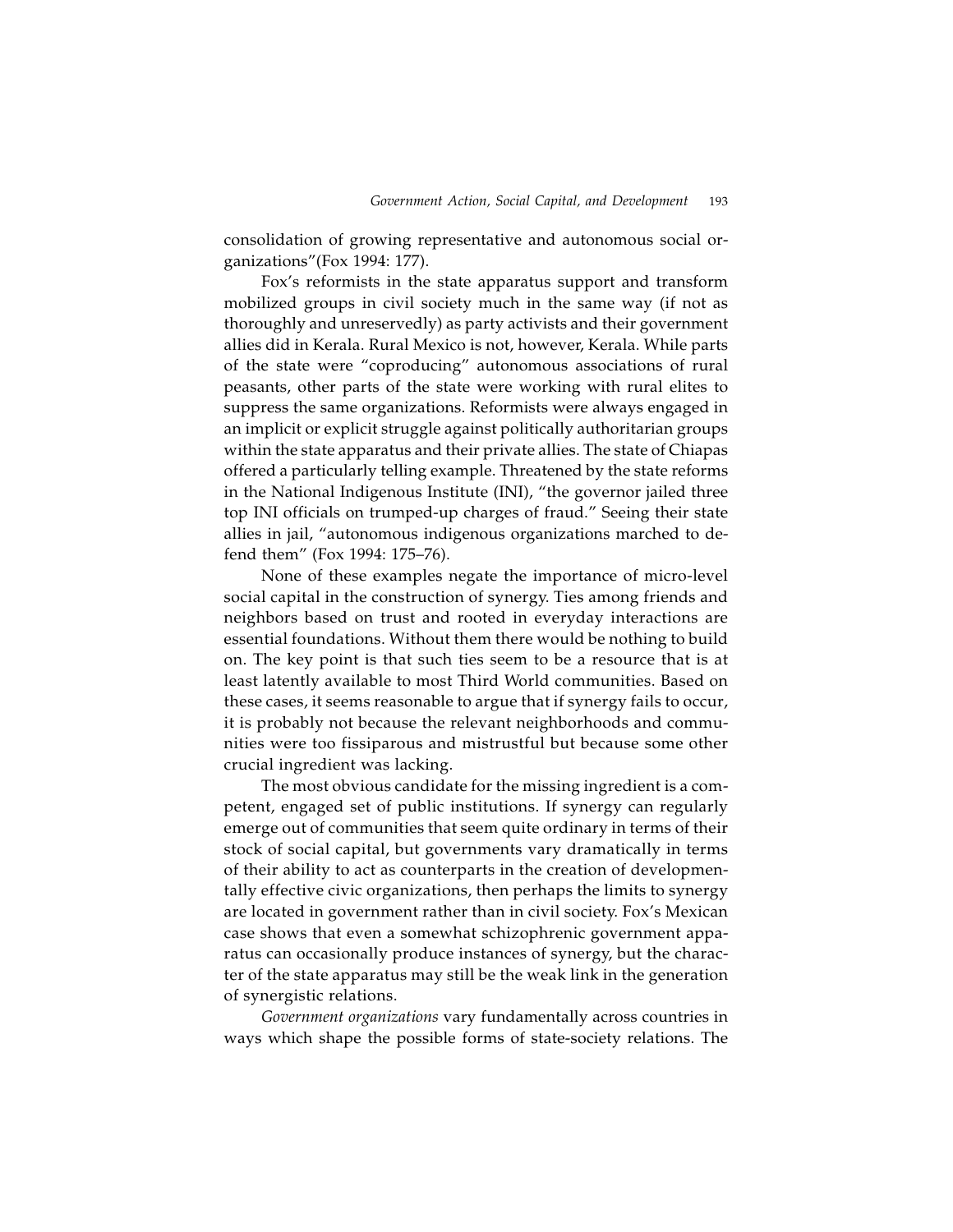consolidation of growing representative and autonomous social organizations"(Fox 1994: 177).

Fox's reformists in the state apparatus support and transform mobilized groups in civil society much in the same way (if not as thoroughly and unreservedly) as party activists and their government allies did in Kerala. Rural Mexico is not, however, Kerala. While parts of the state were "coproducing" autonomous associations of rural peasants, other parts of the state were working with rural elites to suppress the same organizations. Reformists were always engaged in an implicit or explicit struggle against politically authoritarian groups within the state apparatus and their private allies. The state of Chiapas offered a particularly telling example. Threatened by the state reforms in the National Indigenous Institute (INI), "the governor jailed three top INI officials on trumped-up charges of fraud." Seeing their state allies in jail, "autonomous indigenous organizations marched to defend them" (Fox 1994: 175–76).

None of these examples negate the importance of micro-level social capital in the construction of synergy. Ties among friends and neighbors based on trust and rooted in everyday interactions are essential foundations. Without them there would be nothing to build on. The key point is that such ties seem to be a resource that is at least latently available to most Third World communities. Based on these cases, it seems reasonable to argue that if synergy fails to occur, it is probably not because the relevant neighborhoods and communities were too fissiparous and mistrustful but because some other crucial ingredient was lacking.

The most obvious candidate for the missing ingredient is a competent, engaged set of public institutions. If synergy can regularly emerge out of communities that seem quite ordinary in terms of their stock of social capital, but governments vary dramatically in terms of their ability to act as counterparts in the creation of developmentally effective civic organizations, then perhaps the limits to synergy are located in government rather than in civil society. Fox's Mexican case shows that even a somewhat schizophrenic government apparatus can occasionally produce instances of synergy, but the character of the state apparatus may still be the weak link in the generation of synergistic relations.

*Government organizations* vary fundamentally across countries in ways which shape the possible forms of state-society relations. The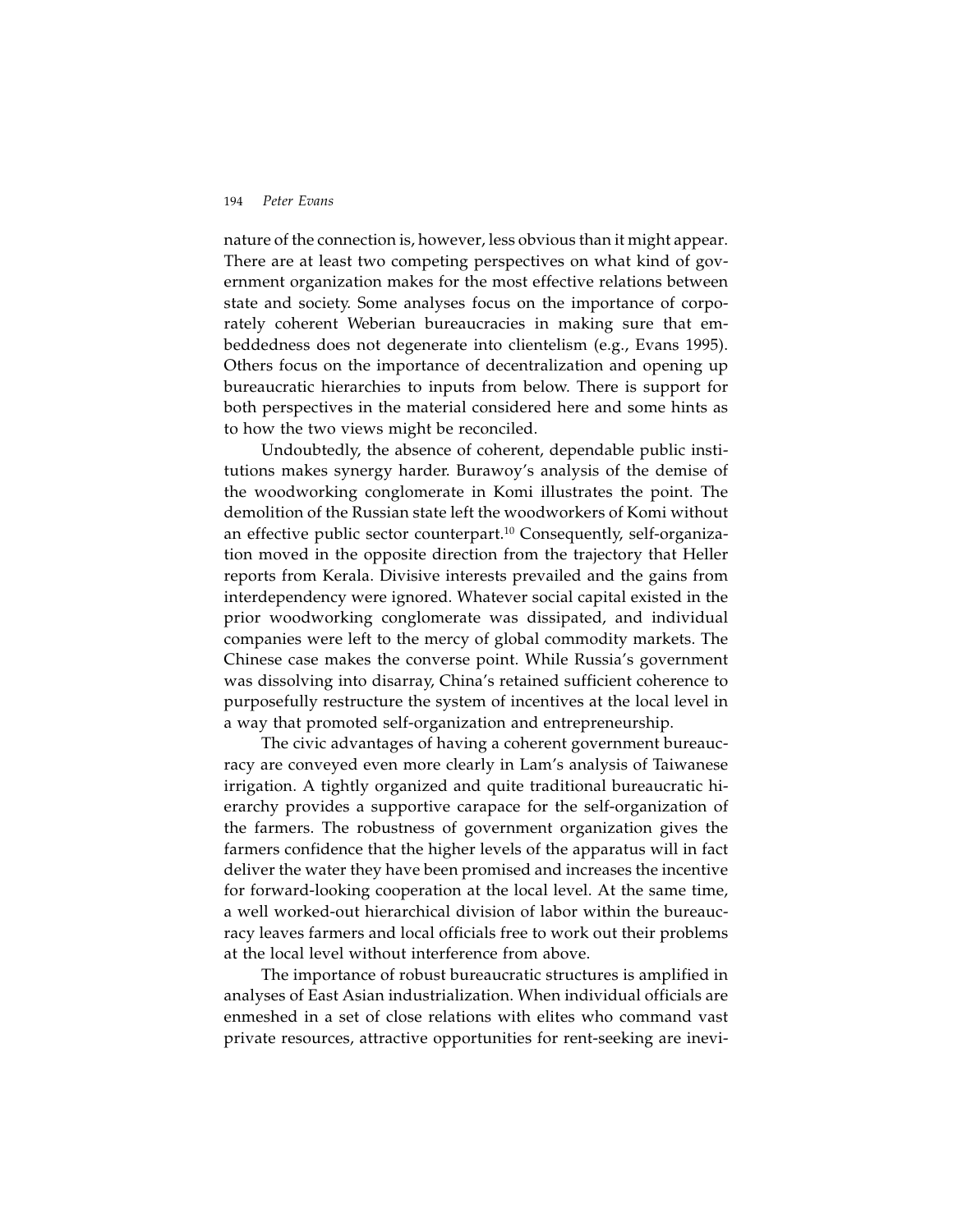nature of the connection is, however, less obvious than it might appear. There are at least two competing perspectives on what kind of government organization makes for the most effective relations between state and society. Some analyses focus on the importance of corporately coherent Weberian bureaucracies in making sure that embeddedness does not degenerate into clientelism (e.g., Evans 1995). Others focus on the importance of decentralization and opening up bureaucratic hierarchies to inputs from below. There is support for both perspectives in the material considered here and some hints as to how the two views might be reconciled.

Undoubtedly, the absence of coherent, dependable public institutions makes synergy harder. Burawoy's analysis of the demise of the woodworking conglomerate in Komi illustrates the point. The demolition of the Russian state left the woodworkers of Komi without an effective public sector counterpart.10 Consequently, self-organization moved in the opposite direction from the trajectory that Heller reports from Kerala. Divisive interests prevailed and the gains from interdependency were ignored. Whatever social capital existed in the prior woodworking conglomerate was dissipated, and individual companies were left to the mercy of global commodity markets. The Chinese case makes the converse point. While Russia's government was dissolving into disarray, China's retained sufficient coherence to purposefully restructure the system of incentives at the local level in a way that promoted self-organization and entrepreneurship.

The civic advantages of having a coherent government bureaucracy are conveyed even more clearly in Lam's analysis of Taiwanese irrigation. A tightly organized and quite traditional bureaucratic hierarchy provides a supportive carapace for the self-organization of the farmers. The robustness of government organization gives the farmers confidence that the higher levels of the apparatus will in fact deliver the water they have been promised and increases the incentive for forward-looking cooperation at the local level. At the same time, a well worked-out hierarchical division of labor within the bureaucracy leaves farmers and local officials free to work out their problems at the local level without interference from above.

The importance of robust bureaucratic structures is amplified in analyses of East Asian industrialization. When individual officials are enmeshed in a set of close relations with elites who command vast private resources, attractive opportunities for rent-seeking are inevi-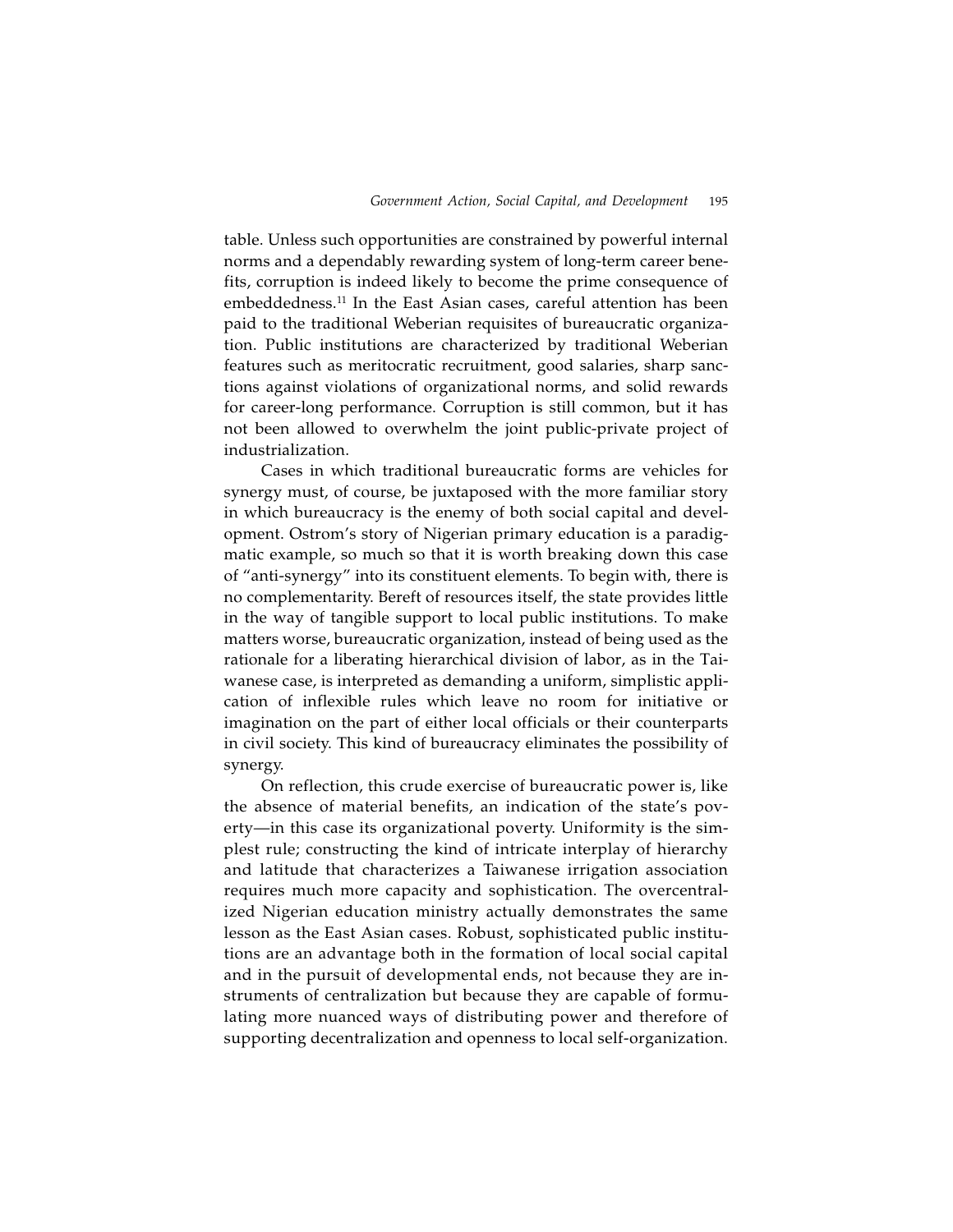table. Unless such opportunities are constrained by powerful internal norms and a dependably rewarding system of long-term career benefits, corruption is indeed likely to become the prime consequence of embeddedness.<sup>11</sup> In the East Asian cases, careful attention has been paid to the traditional Weberian requisites of bureaucratic organization. Public institutions are characterized by traditional Weberian features such as meritocratic recruitment, good salaries, sharp sanctions against violations of organizational norms, and solid rewards for career-long performance. Corruption is still common, but it has not been allowed to overwhelm the joint public-private project of industrialization.

Cases in which traditional bureaucratic forms are vehicles for synergy must, of course, be juxtaposed with the more familiar story in which bureaucracy is the enemy of both social capital and development. Ostrom's story of Nigerian primary education is a paradigmatic example, so much so that it is worth breaking down this case of "anti-synergy" into its constituent elements. To begin with, there is no complementarity. Bereft of resources itself, the state provides little in the way of tangible support to local public institutions. To make matters worse, bureaucratic organization, instead of being used as the rationale for a liberating hierarchical division of labor, as in the Taiwanese case, is interpreted as demanding a uniform, simplistic application of inflexible rules which leave no room for initiative or imagination on the part of either local officials or their counterparts in civil society. This kind of bureaucracy eliminates the possibility of synergy.

On reflection, this crude exercise of bureaucratic power is, like the absence of material benefits, an indication of the state's poverty—in this case its organizational poverty. Uniformity is the simplest rule; constructing the kind of intricate interplay of hierarchy and latitude that characterizes a Taiwanese irrigation association requires much more capacity and sophistication. The overcentralized Nigerian education ministry actually demonstrates the same lesson as the East Asian cases. Robust, sophisticated public institutions are an advantage both in the formation of local social capital and in the pursuit of developmental ends, not because they are instruments of centralization but because they are capable of formulating more nuanced ways of distributing power and therefore of supporting decentralization and openness to local self-organization.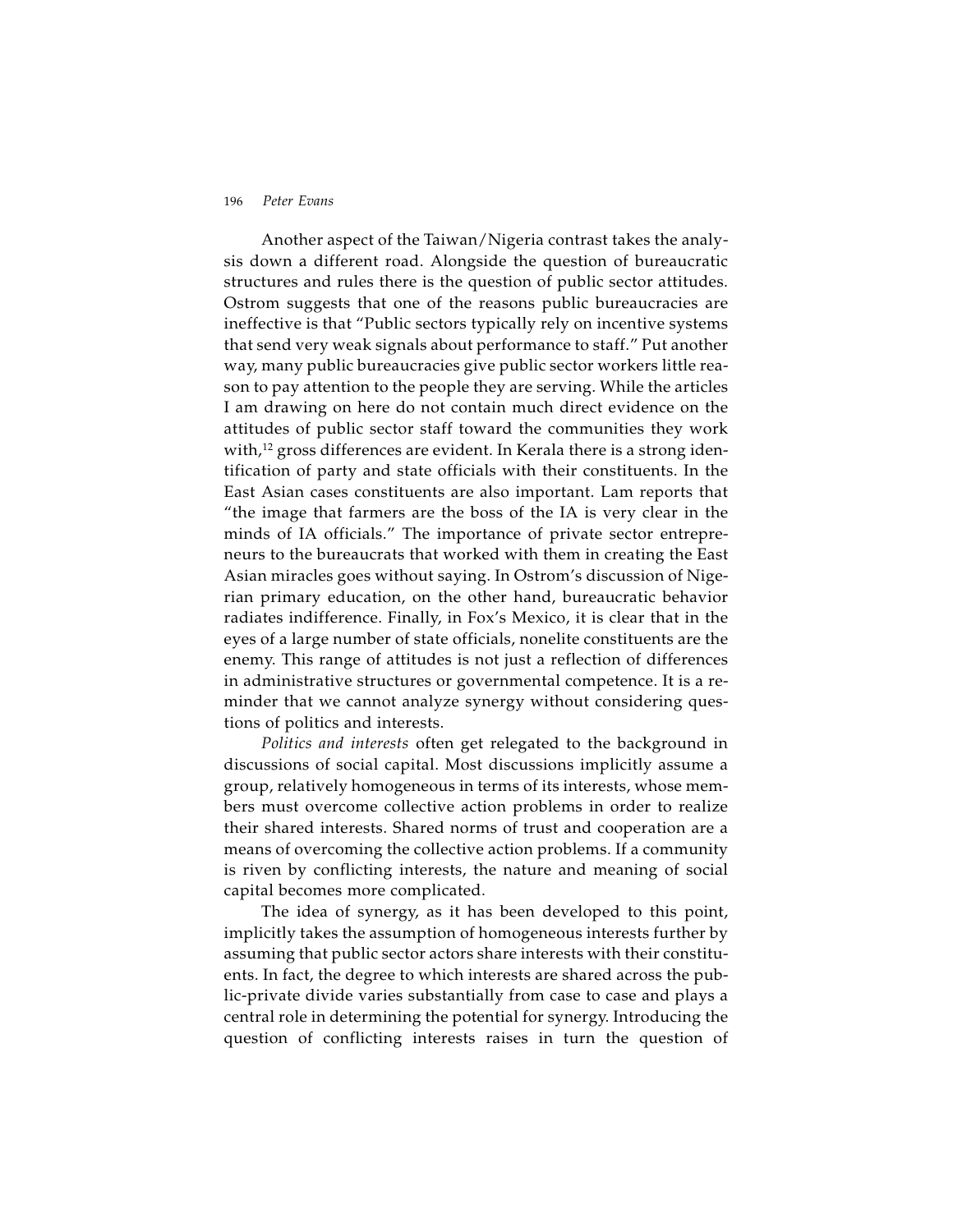Another aspect of the Taiwan/Nigeria contrast takes the analysis down a different road. Alongside the question of bureaucratic structures and rules there is the question of public sector attitudes. Ostrom suggests that one of the reasons public bureaucracies are ineffective is that "Public sectors typically rely on incentive systems that send very weak signals about performance to staff." Put another way, many public bureaucracies give public sector workers little reason to pay attention to the people they are serving. While the articles I am drawing on here do not contain much direct evidence on the attitudes of public sector staff toward the communities they work with,<sup>12</sup> gross differences are evident. In Kerala there is a strong identification of party and state officials with their constituents. In the East Asian cases constituents are also important. Lam reports that "the image that farmers are the boss of the IA is very clear in the minds of IA officials." The importance of private sector entrepreneurs to the bureaucrats that worked with them in creating the East Asian miracles goes without saying. In Ostrom's discussion of Nigerian primary education, on the other hand, bureaucratic behavior radiates indifference. Finally, in Fox's Mexico, it is clear that in the eyes of a large number of state officials, nonelite constituents are the enemy. This range of attitudes is not just a reflection of differences in administrative structures or governmental competence. It is a reminder that we cannot analyze synergy without considering questions of politics and interests.

*Politics and interests* often get relegated to the background in discussions of social capital. Most discussions implicitly assume a group, relatively homogeneous in terms of its interests, whose members must overcome collective action problems in order to realize their shared interests. Shared norms of trust and cooperation are a means of overcoming the collective action problems. If a community is riven by conflicting interests, the nature and meaning of social capital becomes more complicated.

The idea of synergy, as it has been developed to this point, implicitly takes the assumption of homogeneous interests further by assuming that public sector actors share interests with their constituents. In fact, the degree to which interests are shared across the public-private divide varies substantially from case to case and plays a central role in determining the potential for synergy. Introducing the question of conflicting interests raises in turn the question of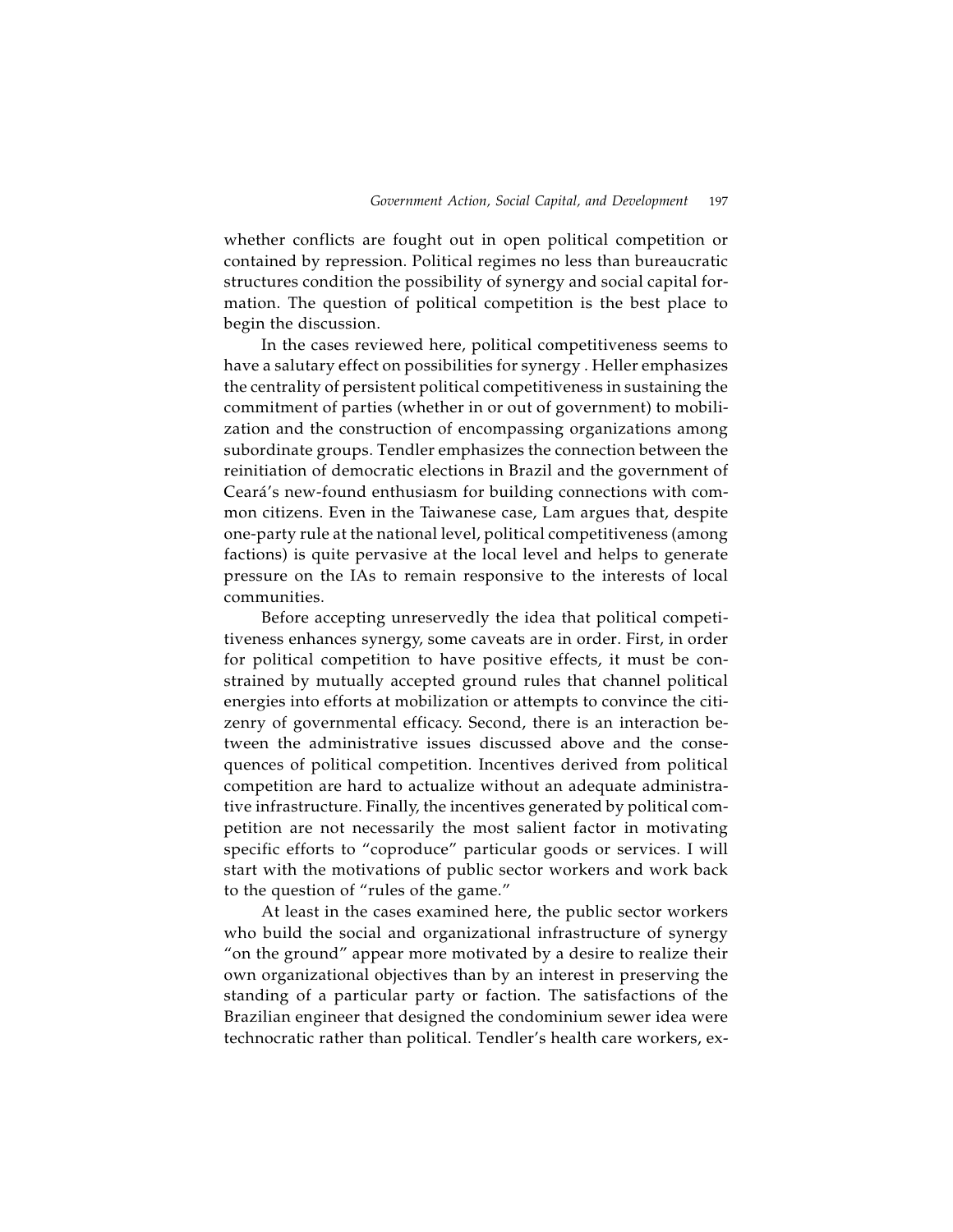whether conflicts are fought out in open political competition or contained by repression. Political regimes no less than bureaucratic structures condition the possibility of synergy and social capital formation. The question of political competition is the best place to begin the discussion.

In the cases reviewed here, political competitiveness seems to have a salutary effect on possibilities for synergy . Heller emphasizes the centrality of persistent political competitiveness in sustaining the commitment of parties (whether in or out of government) to mobilization and the construction of encompassing organizations among subordinate groups. Tendler emphasizes the connection between the reinitiation of democratic elections in Brazil and the government of Ceará's new-found enthusiasm for building connections with common citizens. Even in the Taiwanese case, Lam argues that, despite one-party rule at the national level, political competitiveness (among factions) is quite pervasive at the local level and helps to generate pressure on the IAs to remain responsive to the interests of local communities.

Before accepting unreservedly the idea that political competitiveness enhances synergy, some caveats are in order. First, in order for political competition to have positive effects, it must be constrained by mutually accepted ground rules that channel political energies into efforts at mobilization or attempts to convince the citizenry of governmental efficacy. Second, there is an interaction between the administrative issues discussed above and the consequences of political competition. Incentives derived from political competition are hard to actualize without an adequate administrative infrastructure. Finally, the incentives generated by political competition are not necessarily the most salient factor in motivating specific efforts to "coproduce" particular goods or services. I will start with the motivations of public sector workers and work back to the question of "rules of the game."

At least in the cases examined here, the public sector workers who build the social and organizational infrastructure of synergy "on the ground" appear more motivated by a desire to realize their own organizational objectives than by an interest in preserving the standing of a particular party or faction. The satisfactions of the Brazilian engineer that designed the condominium sewer idea were technocratic rather than political. Tendler's health care workers, ex-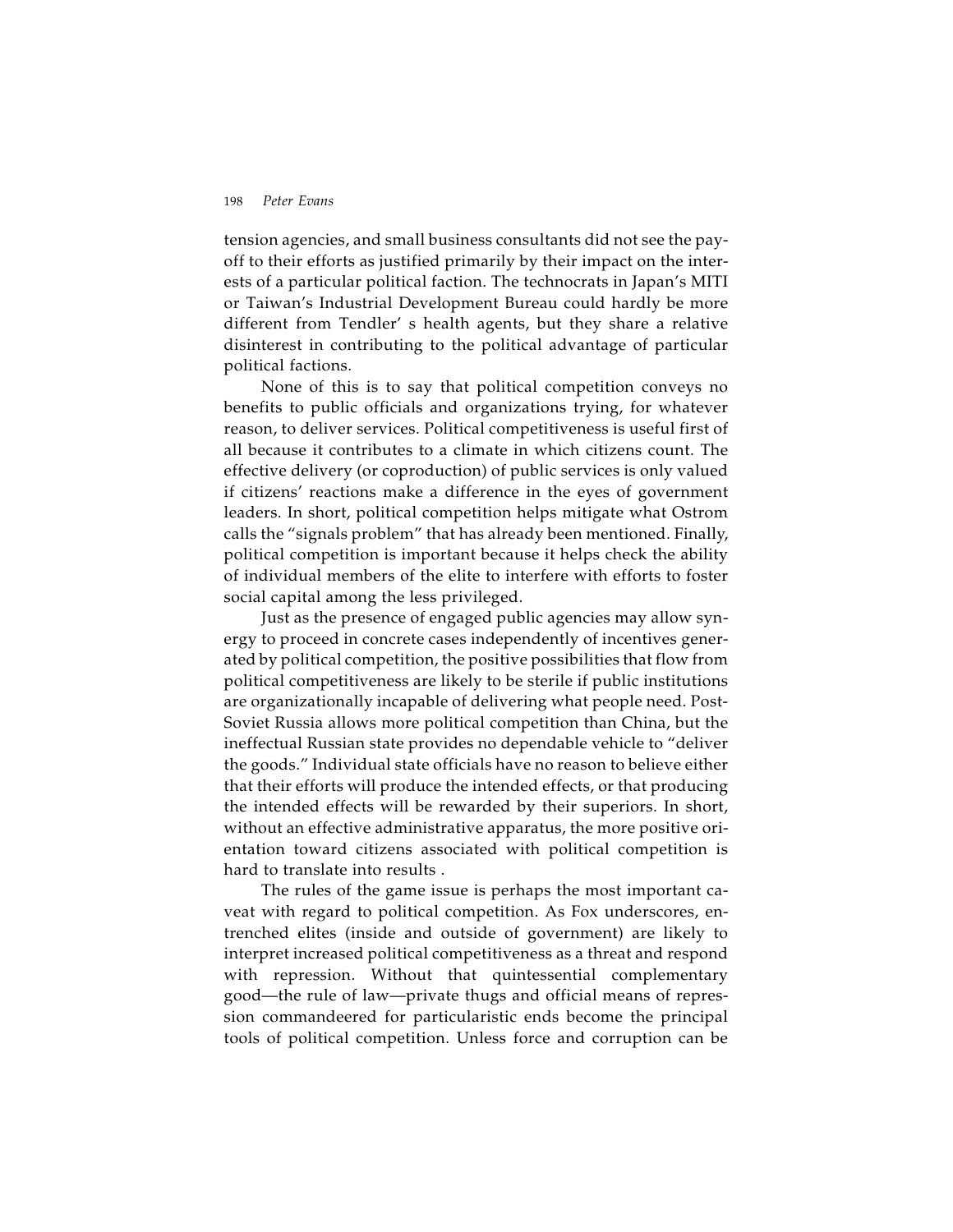tension agencies, and small business consultants did not see the payoff to their efforts as justified primarily by their impact on the interests of a particular political faction. The technocrats in Japan's MITI or Taiwan's Industrial Development Bureau could hardly be more different from Tendler' s health agents, but they share a relative disinterest in contributing to the political advantage of particular political factions.

None of this is to say that political competition conveys no benefits to public officials and organizations trying, for whatever reason, to deliver services. Political competitiveness is useful first of all because it contributes to a climate in which citizens count. The effective delivery (or coproduction) of public services is only valued if citizens' reactions make a difference in the eyes of government leaders. In short, political competition helps mitigate what Ostrom calls the "signals problem" that has already been mentioned. Finally, political competition is important because it helps check the ability of individual members of the elite to interfere with efforts to foster social capital among the less privileged.

Just as the presence of engaged public agencies may allow synergy to proceed in concrete cases independently of incentives generated by political competition, the positive possibilities that flow from political competitiveness are likely to be sterile if public institutions are organizationally incapable of delivering what people need. Post-Soviet Russia allows more political competition than China, but the ineffectual Russian state provides no dependable vehicle to "deliver the goods." Individual state officials have no reason to believe either that their efforts will produce the intended effects, or that producing the intended effects will be rewarded by their superiors. In short, without an effective administrative apparatus, the more positive orientation toward citizens associated with political competition is hard to translate into results .

The rules of the game issue is perhaps the most important caveat with regard to political competition. As Fox underscores, entrenched elites (inside and outside of government) are likely to interpret increased political competitiveness as a threat and respond with repression. Without that quintessential complementary good—the rule of law—private thugs and official means of repression commandeered for particularistic ends become the principal tools of political competition. Unless force and corruption can be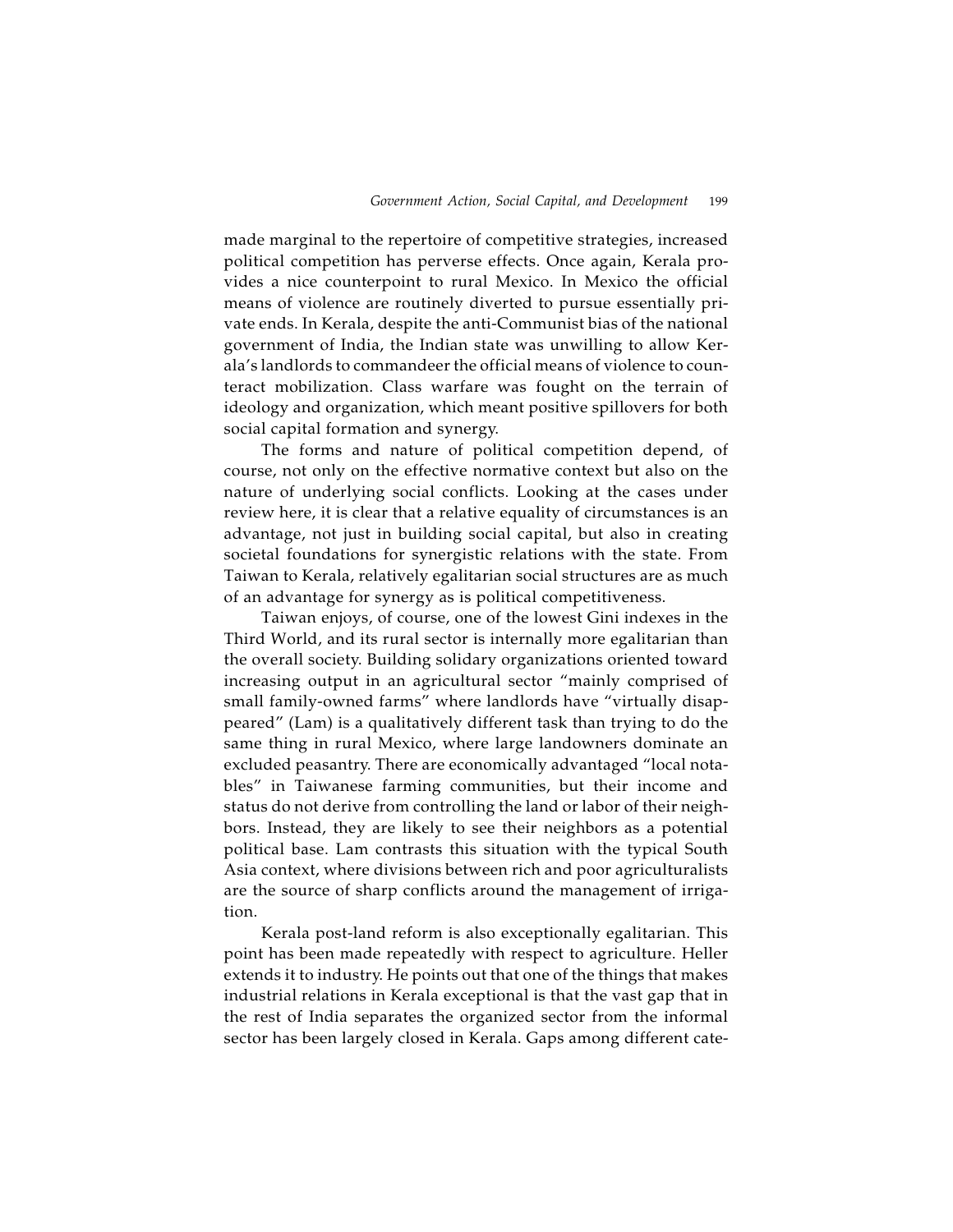made marginal to the repertoire of competitive strategies, increased political competition has perverse effects. Once again, Kerala provides a nice counterpoint to rural Mexico. In Mexico the official means of violence are routinely diverted to pursue essentially private ends. In Kerala, despite the anti-Communist bias of the national government of India, the Indian state was unwilling to allow Kerala's landlords to commandeer the official means of violence to counteract mobilization. Class warfare was fought on the terrain of ideology and organization, which meant positive spillovers for both social capital formation and synergy.

The forms and nature of political competition depend, of course, not only on the effective normative context but also on the nature of underlying social conflicts. Looking at the cases under review here, it is clear that a relative equality of circumstances is an advantage, not just in building social capital, but also in creating societal foundations for synergistic relations with the state. From Taiwan to Kerala, relatively egalitarian social structures are as much of an advantage for synergy as is political competitiveness.

Taiwan enjoys, of course, one of the lowest Gini indexes in the Third World, and its rural sector is internally more egalitarian than the overall society. Building solidary organizations oriented toward increasing output in an agricultural sector "mainly comprised of small family-owned farms" where landlords have "virtually disappeared" (Lam) is a qualitatively different task than trying to do the same thing in rural Mexico, where large landowners dominate an excluded peasantry. There are economically advantaged "local notables" in Taiwanese farming communities, but their income and status do not derive from controlling the land or labor of their neighbors. Instead, they are likely to see their neighbors as a potential political base. Lam contrasts this situation with the typical South Asia context, where divisions between rich and poor agriculturalists are the source of sharp conflicts around the management of irrigation.

Kerala post-land reform is also exceptionally egalitarian. This point has been made repeatedly with respect to agriculture. Heller extends it to industry. He points out that one of the things that makes industrial relations in Kerala exceptional is that the vast gap that in the rest of India separates the organized sector from the informal sector has been largely closed in Kerala. Gaps among different cate-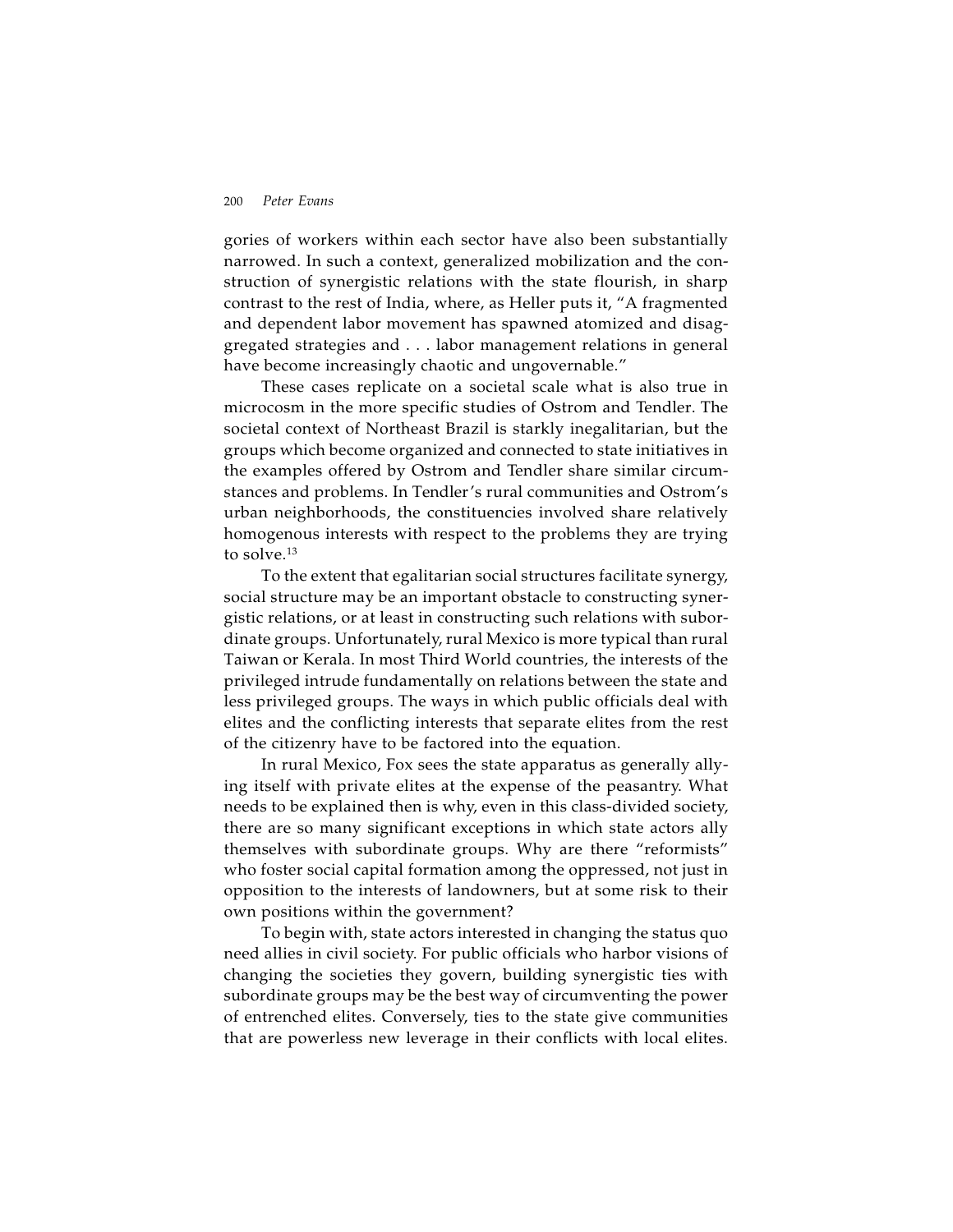gories of workers within each sector have also been substantially narrowed. In such a context, generalized mobilization and the construction of synergistic relations with the state flourish, in sharp contrast to the rest of India, where, as Heller puts it, "A fragmented and dependent labor movement has spawned atomized and disaggregated strategies and . . . labor management relations in general have become increasingly chaotic and ungovernable."

These cases replicate on a societal scale what is also true in microcosm in the more specific studies of Ostrom and Tendler. The societal context of Northeast Brazil is starkly inegalitarian, but the groups which become organized and connected to state initiatives in the examples offered by Ostrom and Tendler share similar circumstances and problems. In Tendler's rural communities and Ostrom's urban neighborhoods, the constituencies involved share relatively homogenous interests with respect to the problems they are trying to solve.<sup>13</sup>

To the extent that egalitarian social structures facilitate synergy, social structure may be an important obstacle to constructing synergistic relations, or at least in constructing such relations with subordinate groups. Unfortunately, rural Mexico is more typical than rural Taiwan or Kerala. In most Third World countries, the interests of the privileged intrude fundamentally on relations between the state and less privileged groups. The ways in which public officials deal with elites and the conflicting interests that separate elites from the rest of the citizenry have to be factored into the equation.

In rural Mexico, Fox sees the state apparatus as generally allying itself with private elites at the expense of the peasantry. What needs to be explained then is why, even in this class-divided society, there are so many significant exceptions in which state actors ally themselves with subordinate groups. Why are there "reformists" who foster social capital formation among the oppressed, not just in opposition to the interests of landowners, but at some risk to their own positions within the government?

To begin with, state actors interested in changing the status quo need allies in civil society. For public officials who harbor visions of changing the societies they govern, building synergistic ties with subordinate groups may be the best way of circumventing the power of entrenched elites. Conversely, ties to the state give communities that are powerless new leverage in their conflicts with local elites.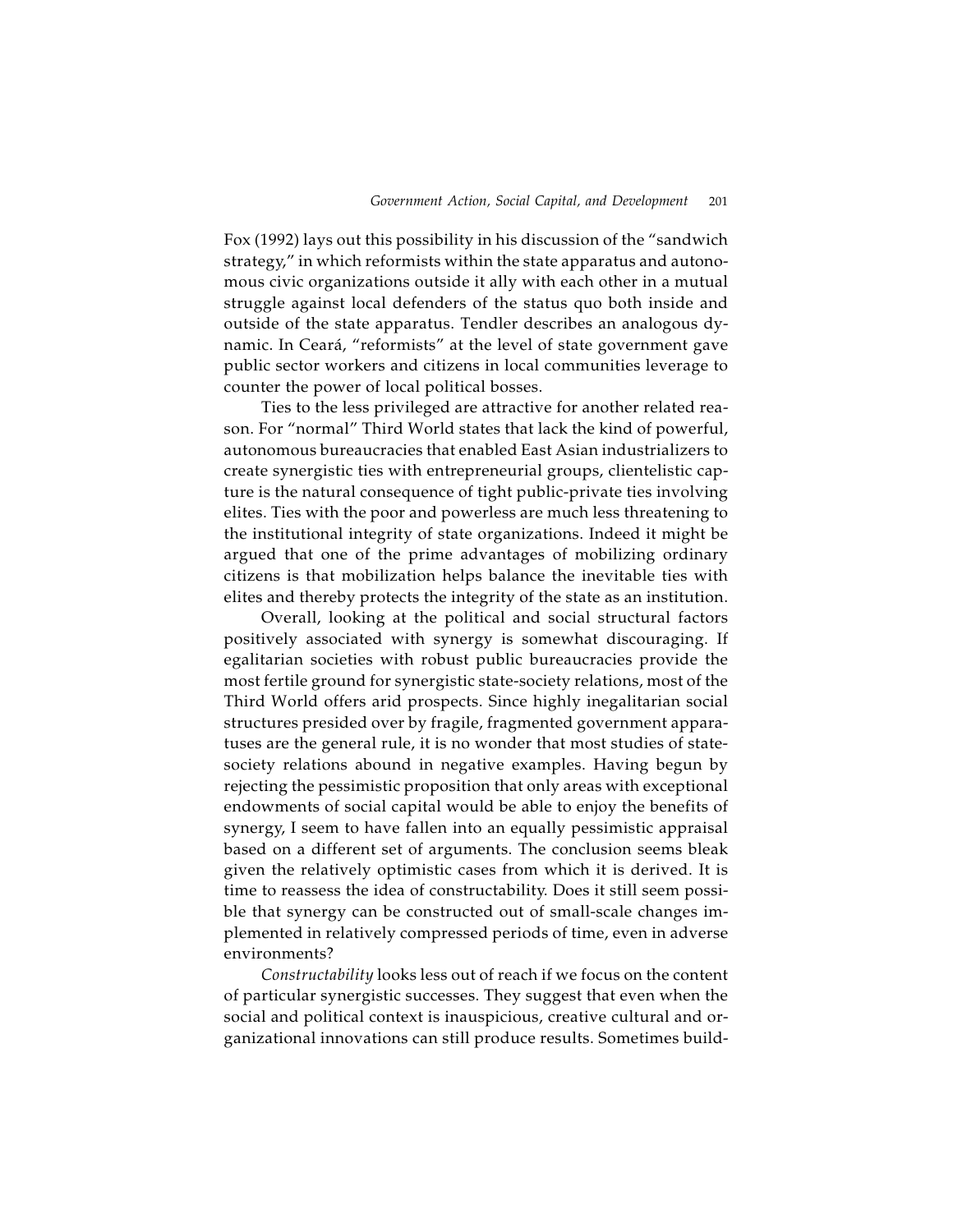Fox (1992) lays out this possibility in his discussion of the "sandwich strategy," in which reformists within the state apparatus and autonomous civic organizations outside it ally with each other in a mutual struggle against local defenders of the status quo both inside and outside of the state apparatus. Tendler describes an analogous dynamic. In Ceará, "reformists" at the level of state government gave public sector workers and citizens in local communities leverage to counter the power of local political bosses.

Ties to the less privileged are attractive for another related reason. For "normal" Third World states that lack the kind of powerful, autonomous bureaucracies that enabled East Asian industrializers to create synergistic ties with entrepreneurial groups, clientelistic capture is the natural consequence of tight public-private ties involving elites. Ties with the poor and powerless are much less threatening to the institutional integrity of state organizations. Indeed it might be argued that one of the prime advantages of mobilizing ordinary citizens is that mobilization helps balance the inevitable ties with elites and thereby protects the integrity of the state as an institution.

Overall, looking at the political and social structural factors positively associated with synergy is somewhat discouraging. If egalitarian societies with robust public bureaucracies provide the most fertile ground for synergistic state-society relations, most of the Third World offers arid prospects. Since highly inegalitarian social structures presided over by fragile, fragmented government apparatuses are the general rule, it is no wonder that most studies of statesociety relations abound in negative examples. Having begun by rejecting the pessimistic proposition that only areas with exceptional endowments of social capital would be able to enjoy the benefits of synergy, I seem to have fallen into an equally pessimistic appraisal based on a different set of arguments. The conclusion seems bleak given the relatively optimistic cases from which it is derived. It is time to reassess the idea of constructability. Does it still seem possible that synergy can be constructed out of small-scale changes implemented in relatively compressed periods of time, even in adverse environments?

*Constructability* looks less out of reach if we focus on the content of particular synergistic successes. They suggest that even when the social and political context is inauspicious, creative cultural and organizational innovations can still produce results. Sometimes build-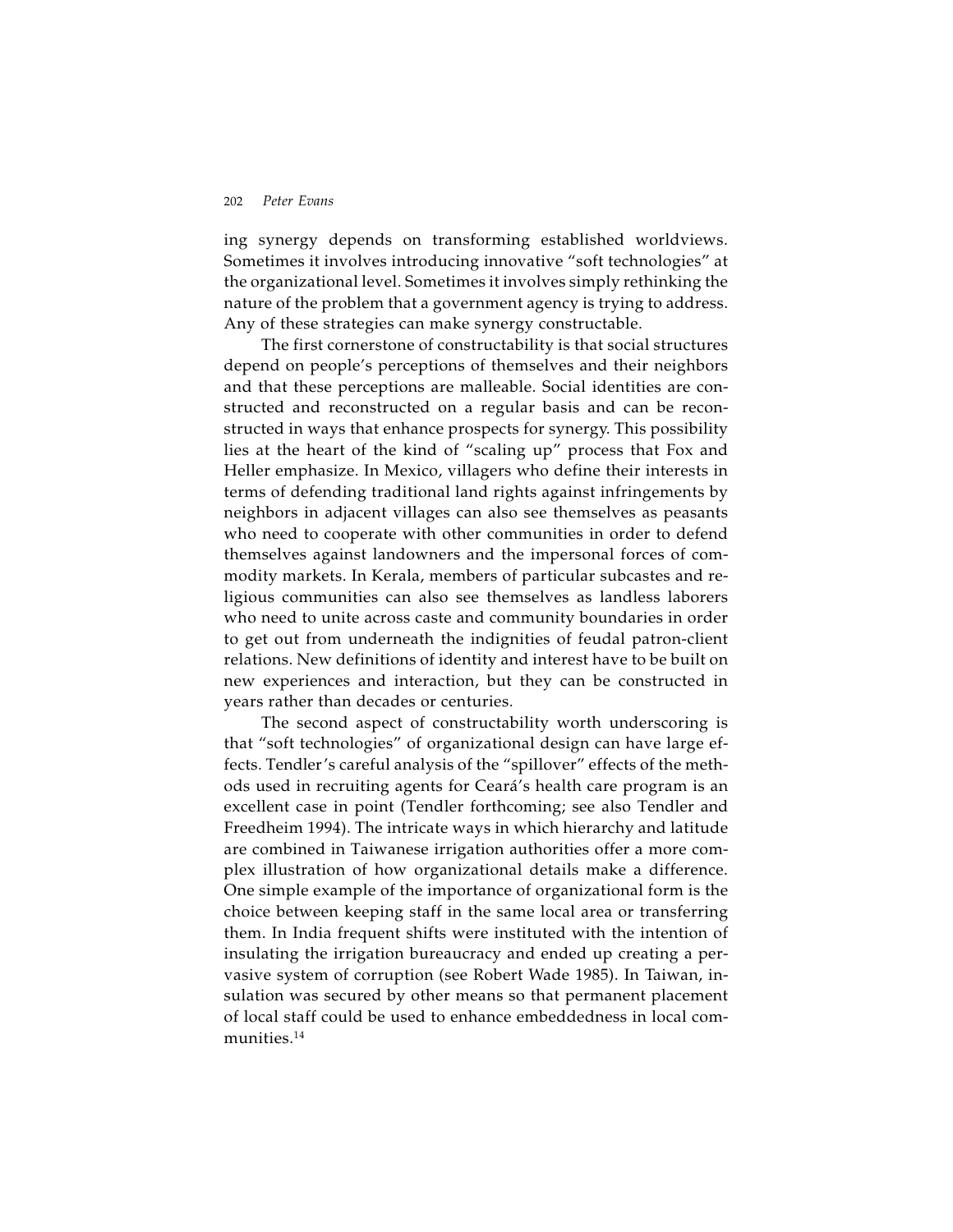ing synergy depends on transforming established worldviews. Sometimes it involves introducing innovative "soft technologies" at the organizational level. Sometimes it involves simply rethinking the nature of the problem that a government agency is trying to address. Any of these strategies can make synergy constructable.

The first cornerstone of constructability is that social structures depend on people's perceptions of themselves and their neighbors and that these perceptions are malleable. Social identities are constructed and reconstructed on a regular basis and can be reconstructed in ways that enhance prospects for synergy. This possibility lies at the heart of the kind of "scaling up" process that Fox and Heller emphasize. In Mexico, villagers who define their interests in terms of defending traditional land rights against infringements by neighbors in adjacent villages can also see themselves as peasants who need to cooperate with other communities in order to defend themselves against landowners and the impersonal forces of commodity markets. In Kerala, members of particular subcastes and religious communities can also see themselves as landless laborers who need to unite across caste and community boundaries in order to get out from underneath the indignities of feudal patron-client relations. New definitions of identity and interest have to be built on new experiences and interaction, but they can be constructed in years rather than decades or centuries.

The second aspect of constructability worth underscoring is that "soft technologies" of organizational design can have large effects. Tendler's careful analysis of the "spillover" effects of the methods used in recruiting agents for Ceará's health care program is an excellent case in point (Tendler forthcoming; see also Tendler and Freedheim 1994). The intricate ways in which hierarchy and latitude are combined in Taiwanese irrigation authorities offer a more complex illustration of how organizational details make a difference. One simple example of the importance of organizational form is the choice between keeping staff in the same local area or transferring them. In India frequent shifts were instituted with the intention of insulating the irrigation bureaucracy and ended up creating a pervasive system of corruption (see Robert Wade 1985). In Taiwan, insulation was secured by other means so that permanent placement of local staff could be used to enhance embeddedness in local communities.<sup>14</sup>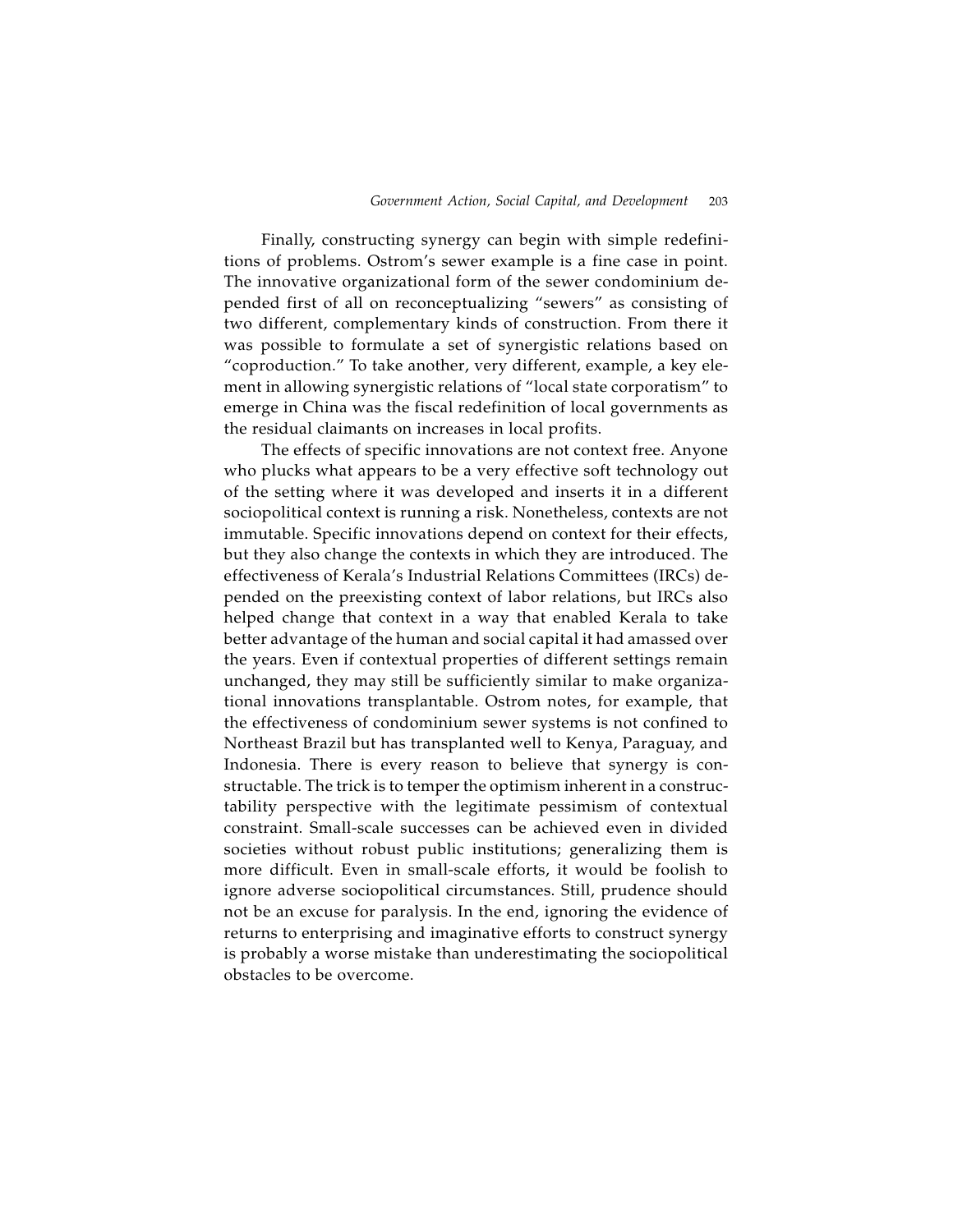Finally, constructing synergy can begin with simple redefinitions of problems. Ostrom's sewer example is a fine case in point. The innovative organizational form of the sewer condominium depended first of all on reconceptualizing "sewers" as consisting of two different, complementary kinds of construction. From there it was possible to formulate a set of synergistic relations based on "coproduction." To take another, very different, example, a key element in allowing synergistic relations of "local state corporatism" to emerge in China was the fiscal redefinition of local governments as the residual claimants on increases in local profits.

The effects of specific innovations are not context free. Anyone who plucks what appears to be a very effective soft technology out of the setting where it was developed and inserts it in a different sociopolitical context is running a risk. Nonetheless, contexts are not immutable. Specific innovations depend on context for their effects, but they also change the contexts in which they are introduced. The effectiveness of Kerala's Industrial Relations Committees (IRCs) depended on the preexisting context of labor relations, but IRCs also helped change that context in a way that enabled Kerala to take better advantage of the human and social capital it had amassed over the years. Even if contextual properties of different settings remain unchanged, they may still be sufficiently similar to make organizational innovations transplantable. Ostrom notes, for example, that the effectiveness of condominium sewer systems is not confined to Northeast Brazil but has transplanted well to Kenya, Paraguay, and Indonesia. There is every reason to believe that synergy is constructable. The trick is to temper the optimism inherent in a constructability perspective with the legitimate pessimism of contextual constraint. Small-scale successes can be achieved even in divided societies without robust public institutions; generalizing them is more difficult. Even in small-scale efforts, it would be foolish to ignore adverse sociopolitical circumstances. Still, prudence should not be an excuse for paralysis. In the end, ignoring the evidence of returns to enterprising and imaginative efforts to construct synergy is probably a worse mistake than underestimating the sociopolitical obstacles to be overcome.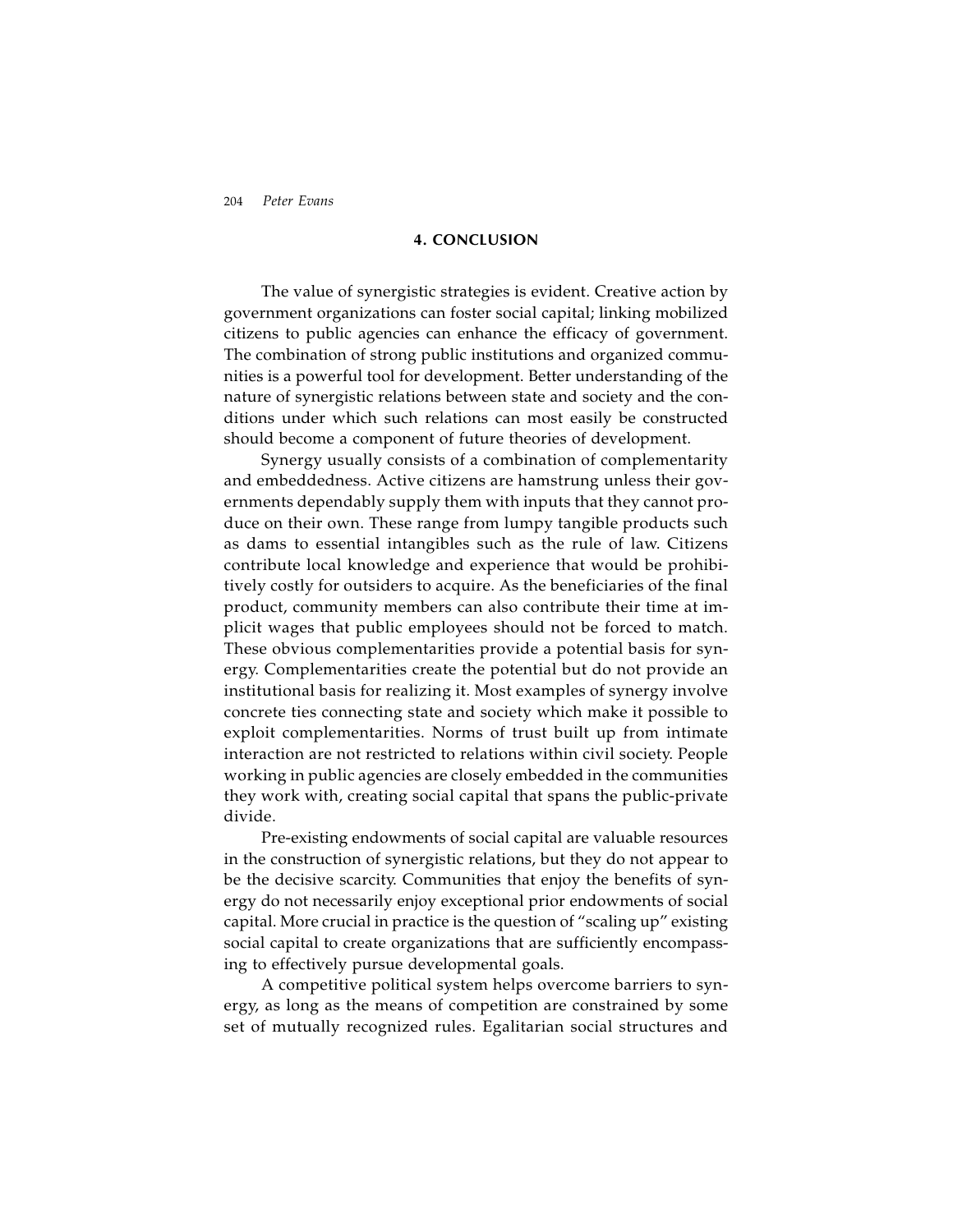## **4. CONCLUSION**

The value of synergistic strategies is evident. Creative action by government organizations can foster social capital; linking mobilized citizens to public agencies can enhance the efficacy of government. The combination of strong public institutions and organized communities is a powerful tool for development. Better understanding of the nature of synergistic relations between state and society and the conditions under which such relations can most easily be constructed should become a component of future theories of development.

Synergy usually consists of a combination of complementarity and embeddedness. Active citizens are hamstrung unless their governments dependably supply them with inputs that they cannot produce on their own. These range from lumpy tangible products such as dams to essential intangibles such as the rule of law. Citizens contribute local knowledge and experience that would be prohibitively costly for outsiders to acquire. As the beneficiaries of the final product, community members can also contribute their time at implicit wages that public employees should not be forced to match. These obvious complementarities provide a potential basis for synergy. Complementarities create the potential but do not provide an institutional basis for realizing it. Most examples of synergy involve concrete ties connecting state and society which make it possible to exploit complementarities. Norms of trust built up from intimate interaction are not restricted to relations within civil society. People working in public agencies are closely embedded in the communities they work with, creating social capital that spans the public-private divide.

Pre-existing endowments of social capital are valuable resources in the construction of synergistic relations, but they do not appear to be the decisive scarcity. Communities that enjoy the benefits of synergy do not necessarily enjoy exceptional prior endowments of social capital. More crucial in practice is the question of "scaling up" existing social capital to create organizations that are sufficiently encompassing to effectively pursue developmental goals.

A competitive political system helps overcome barriers to synergy, as long as the means of competition are constrained by some set of mutually recognized rules. Egalitarian social structures and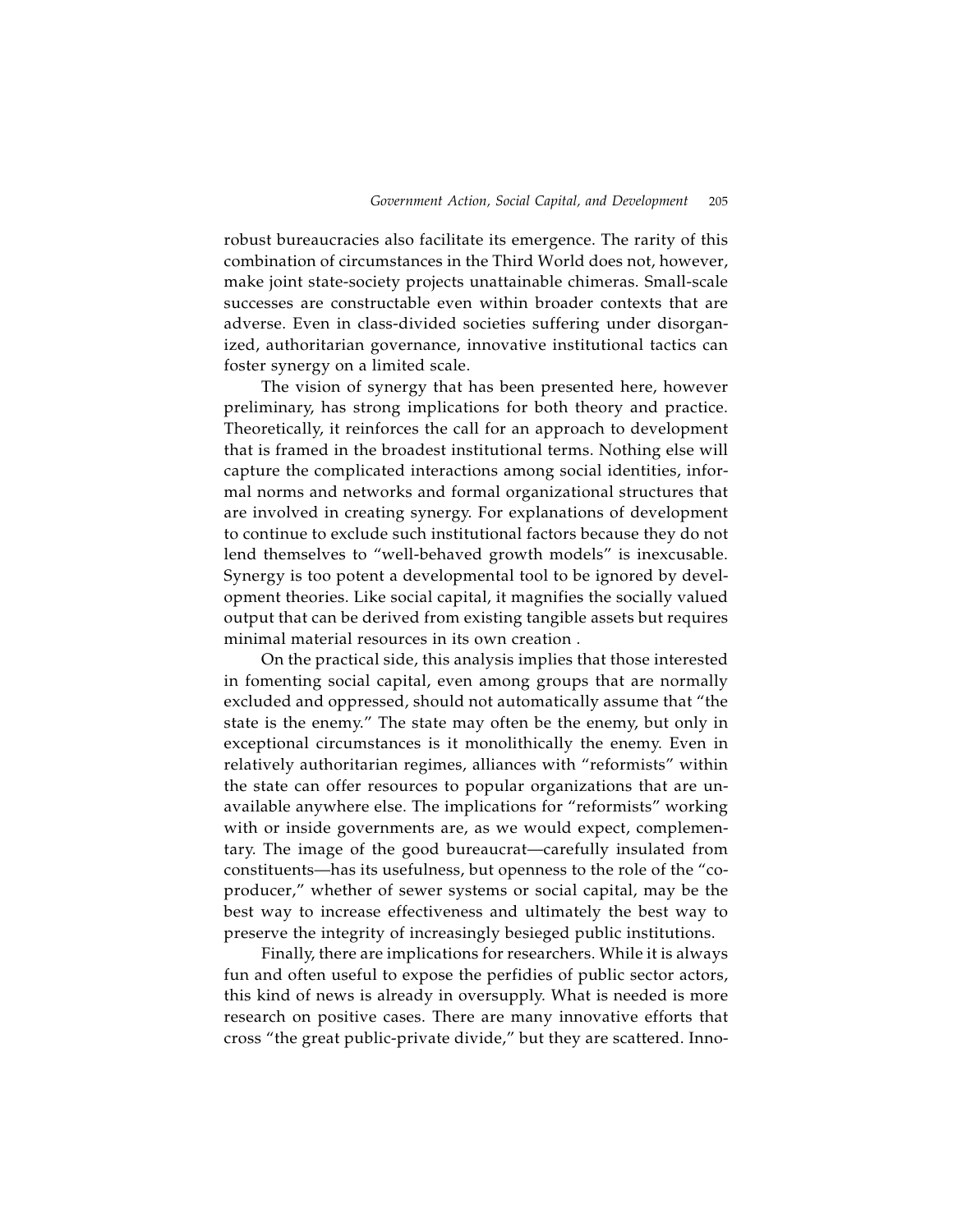robust bureaucracies also facilitate its emergence. The rarity of this combination of circumstances in the Third World does not, however, make joint state-society projects unattainable chimeras. Small-scale successes are constructable even within broader contexts that are adverse. Even in class-divided societies suffering under disorganized, authoritarian governance, innovative institutional tactics can foster synergy on a limited scale.

The vision of synergy that has been presented here, however preliminary, has strong implications for both theory and practice. Theoretically, it reinforces the call for an approach to development that is framed in the broadest institutional terms. Nothing else will capture the complicated interactions among social identities, informal norms and networks and formal organizational structures that are involved in creating synergy. For explanations of development to continue to exclude such institutional factors because they do not lend themselves to "well-behaved growth models" is inexcusable. Synergy is too potent a developmental tool to be ignored by development theories. Like social capital, it magnifies the socially valued output that can be derived from existing tangible assets but requires minimal material resources in its own creation .

On the practical side, this analysis implies that those interested in fomenting social capital, even among groups that are normally excluded and oppressed, should not automatically assume that "the state is the enemy." The state may often be the enemy, but only in exceptional circumstances is it monolithically the enemy. Even in relatively authoritarian regimes, alliances with "reformists" within the state can offer resources to popular organizations that are unavailable anywhere else. The implications for "reformists" working with or inside governments are, as we would expect, complementary. The image of the good bureaucrat—carefully insulated from constituents—has its usefulness, but openness to the role of the "coproducer," whether of sewer systems or social capital, may be the best way to increase effectiveness and ultimately the best way to preserve the integrity of increasingly besieged public institutions.

Finally, there are implications for researchers. While it is always fun and often useful to expose the perfidies of public sector actors, this kind of news is already in oversupply. What is needed is more research on positive cases. There are many innovative efforts that cross "the great public-private divide," but they are scattered. Inno-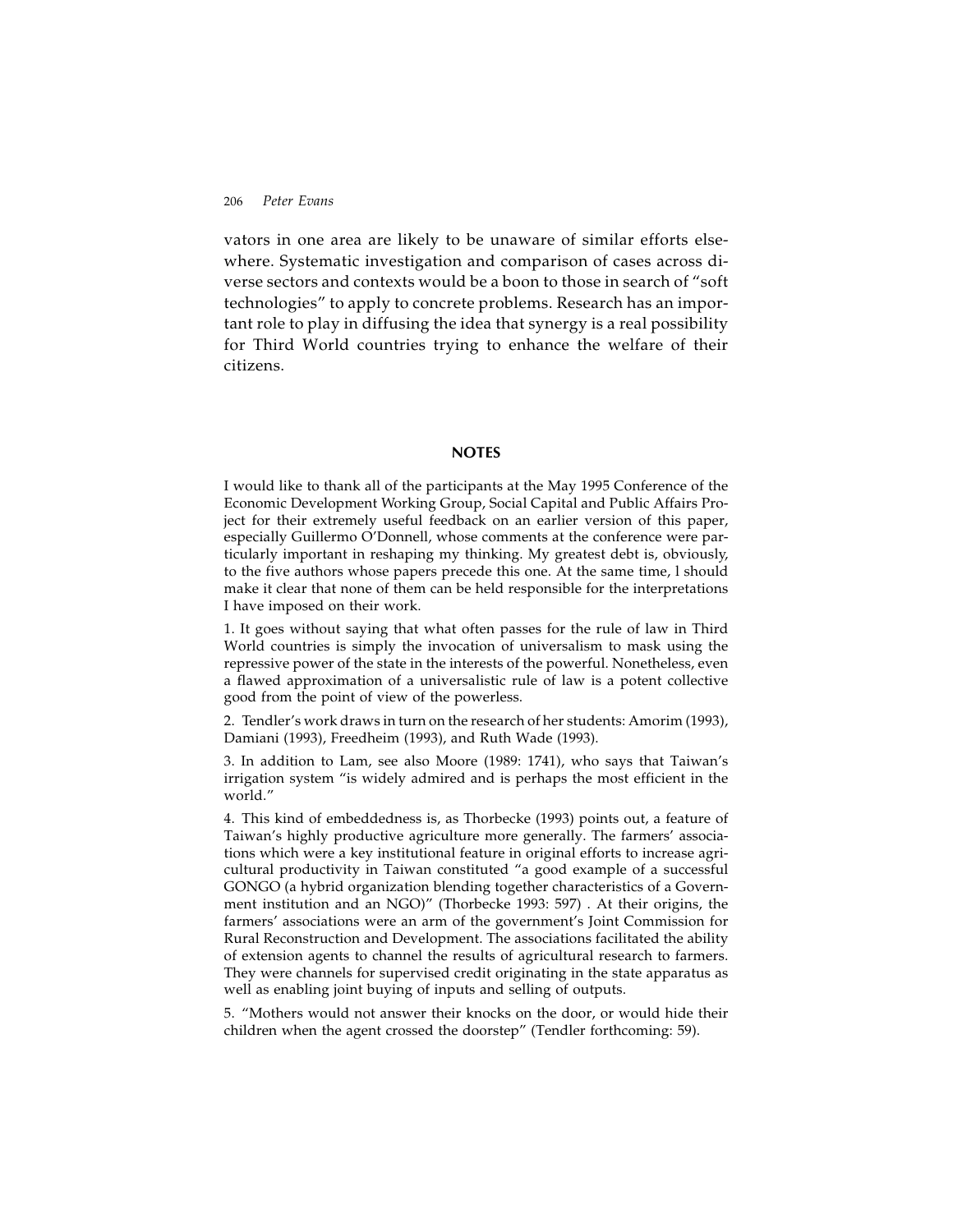vators in one area are likely to be unaware of similar efforts elsewhere. Systematic investigation and comparison of cases across diverse sectors and contexts would be a boon to those in search of "soft technologies" to apply to concrete problems. Research has an important role to play in diffusing the idea that synergy is a real possibility for Third World countries trying to enhance the welfare of their citizens.

## **NOTES**

I would like to thank all of the participants at the May 1995 Conference of the Economic Development Working Group, Social Capital and Public Affairs Project for their extremely useful feedback on an earlier version of this paper, especially Guillermo O'Donnell, whose comments at the conference were particularly important in reshaping my thinking. My greatest debt is, obviously, to the five authors whose papers precede this one. At the same time, l should make it clear that none of them can be held responsible for the interpretations I have imposed on their work.

1. It goes without saying that what often passes for the rule of law in Third World countries is simply the invocation of universalism to mask using the repressive power of the state in the interests of the powerful. Nonetheless, even a flawed approximation of a universalistic rule of law is a potent collective good from the point of view of the powerless.

2. Tendler's work draws in turn on the research of her students: Amorim (1993), Damiani (1993), Freedheim (1993), and Ruth Wade (1993).

3. In addition to Lam, see also Moore (1989: 1741), who says that Taiwan's irrigation system "is widely admired and is perhaps the most efficient in the world."

4. This kind of embeddedness is, as Thorbecke (1993) points out, a feature of Taiwan's highly productive agriculture more generally. The farmers' associations which were a key institutional feature in original efforts to increase agricultural productivity in Taiwan constituted "a good example of a successful GONGO (a hybrid organization blending together characteristics of a Government institution and an NGO)" (Thorbecke 1993: 597) . At their origins, the farmers' associations were an arm of the government's Joint Commission for Rural Reconstruction and Development. The associations facilitated the ability of extension agents to channel the results of agricultural research to farmers. They were channels for supervised credit originating in the state apparatus as well as enabling joint buying of inputs and selling of outputs.

5. "Mothers would not answer their knocks on the door, or would hide their children when the agent crossed the doorstep" (Tendler forthcoming: 59).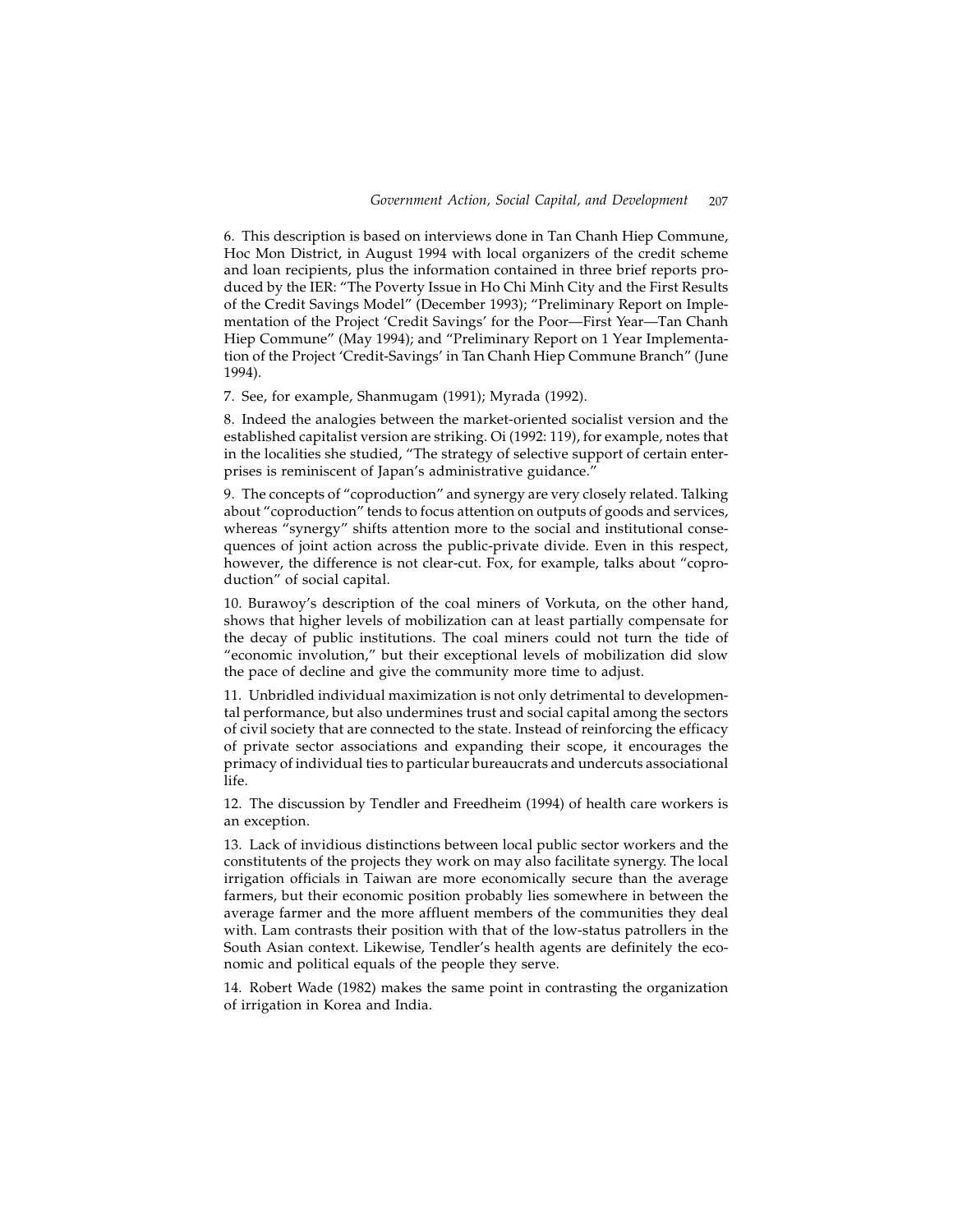6. This description is based on interviews done in Tan Chanh Hiep Commune, Hoc Mon District, in August 1994 with local organizers of the credit scheme and loan recipients, plus the information contained in three brief reports produced by the IER: "The Poverty Issue in Ho Chi Minh City and the First Results of the Credit Savings Model" (December 1993); "Preliminary Report on Implementation of the Project 'Credit Savings' for the Poor—First Year—Tan Chanh Hiep Commune" (May 1994); and "Preliminary Report on 1 Year Implementation of the Project 'Credit-Savings' in Tan Chanh Hiep Commune Branch" (June 1994).

7. See, for example, Shanmugam (1991); Myrada (1992).

8. Indeed the analogies between the market-oriented socialist version and the established capitalist version are striking. Oi (1992: 119), for example, notes that in the localities she studied, "The strategy of selective support of certain enterprises is reminiscent of Japan's administrative guidance."

9. The concepts of "coproduction" and synergy are very closely related. Talking about "coproduction" tends to focus attention on outputs of goods and services, whereas "synergy" shifts attention more to the social and institutional consequences of joint action across the public-private divide. Even in this respect, however, the difference is not clear-cut. Fox, for example, talks about "coproduction" of social capital.

10. Burawoy's description of the coal miners of Vorkuta, on the other hand, shows that higher levels of mobilization can at least partially compensate for the decay of public institutions. The coal miners could not turn the tide of "economic involution," but their exceptional levels of mobilization did slow the pace of decline and give the community more time to adjust.

11. Unbridled individual maximization is not only detrimental to developmental performance, but also undermines trust and social capital among the sectors of civil society that are connected to the state. Instead of reinforcing the efficacy of private sector associations and expanding their scope, it encourages the primacy of individual ties to particular bureaucrats and undercuts associational life.

12. The discussion by Tendler and Freedheim (1994) of health care workers is an exception.

13. Lack of invidious distinctions between local public sector workers and the constitutents of the projects they work on may also facilitate synergy. The local irrigation officials in Taiwan are more economically secure than the average farmers, but their economic position probably lies somewhere in between the average farmer and the more affluent members of the communities they deal with. Lam contrasts their position with that of the low-status patrollers in the South Asian context. Likewise, Tendler's health agents are definitely the economic and political equals of the people they serve.

14. Robert Wade (1982) makes the same point in contrasting the organization of irrigation in Korea and India.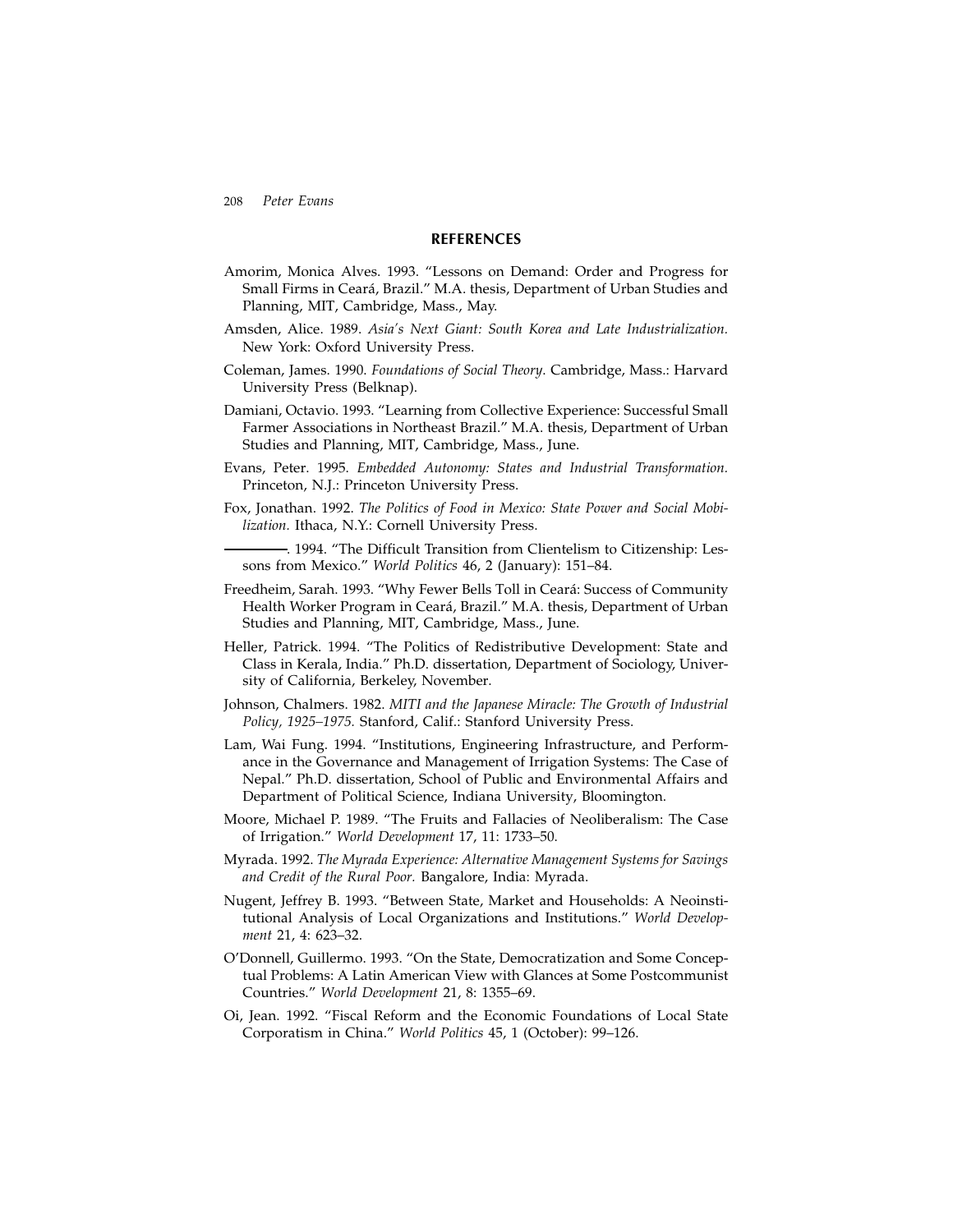## **REFERENCES**

- Amorim, Monica Alves. 1993. "Lessons on Demand: Order and Progress for Small Firms in Ceará, Brazil." M.A. thesis, Department of Urban Studies and Planning, MIT, Cambridge, Mass., May.
- Amsden, Alice. 1989. *Asia's Next Giant: South Korea and Late Industrialization.* New York: Oxford University Press.
- Coleman, James. 1990. *Foundations of Social Theory*. Cambridge, Mass.: Harvard University Press (Belknap).
- Damiani, Octavio. 1993. "Learning from Collective Experience: Successful Small Farmer Associations in Northeast Brazil." M.A. thesis, Department of Urban Studies and Planning, MIT, Cambridge, Mass., June.
- Evans, Peter. 1995. *Embedded Autonomy: States and Industrial Transformation.* Princeton, N.J.: Princeton University Press.
- Fox, Jonathan. 1992. *The Politics of Food in Mexico: State Power and Social Mobilization.* Ithaca, N.Y.: Cornell University Press.
- . 1994. "The Difficult Transition from Clientelism to Citizenship: Lessons from Mexico." *World Politics* 46, 2 (January): 151–84.
- Freedheim, Sarah. 1993. "Why Fewer Bells Toll in Ceará: Success of Community Health Worker Program in Ceará, Brazil." M.A. thesis, Department of Urban Studies and Planning, MIT, Cambridge, Mass., June.
- Heller, Patrick. 1994. "The Politics of Redistributive Development: State and Class in Kerala, India." Ph.D. dissertation, Department of Sociology, University of California, Berkeley, November.
- Johnson, Chalmers. 1982. *MITI and the Japanese Miracle: The Growth of Industrial Policy, 1925–1975.* Stanford, Calif.: Stanford University Press.
- Lam, Wai Fung. 1994. "Institutions, Engineering Infrastructure, and Performance in the Governance and Management of Irrigation Systems: The Case of Nepal." Ph.D. dissertation, School of Public and Environmental Affairs and Department of Political Science, Indiana University, Bloomington.
- Moore, Michael P. 1989. "The Fruits and Fallacies of Neoliberalism: The Case of Irrigation." *World Development* 17, 11: 1733–50.
- Myrada. 1992. *The Myrada Experience: Alternative Management Systems for Savings and Credit of the Rural Poor.* Bangalore, India: Myrada.
- Nugent, Jeffrey B. 1993. "Between State, Market and Households: A Neoinstitutional Analysis of Local Organizations and Institutions." *World Development* 21, 4: 623–32.
- O'Donnell, Guillermo. 1993. "On the State, Democratization and Some Conceptual Problems: A Latin American View with Glances at Some Postcommunist Countries." *World Development* 21, 8: 1355–69.
- Oi, Jean. 1992. "Fiscal Reform and the Economic Foundations of Local State Corporatism in China." *World Politics* 45, 1 (October): 99–126.